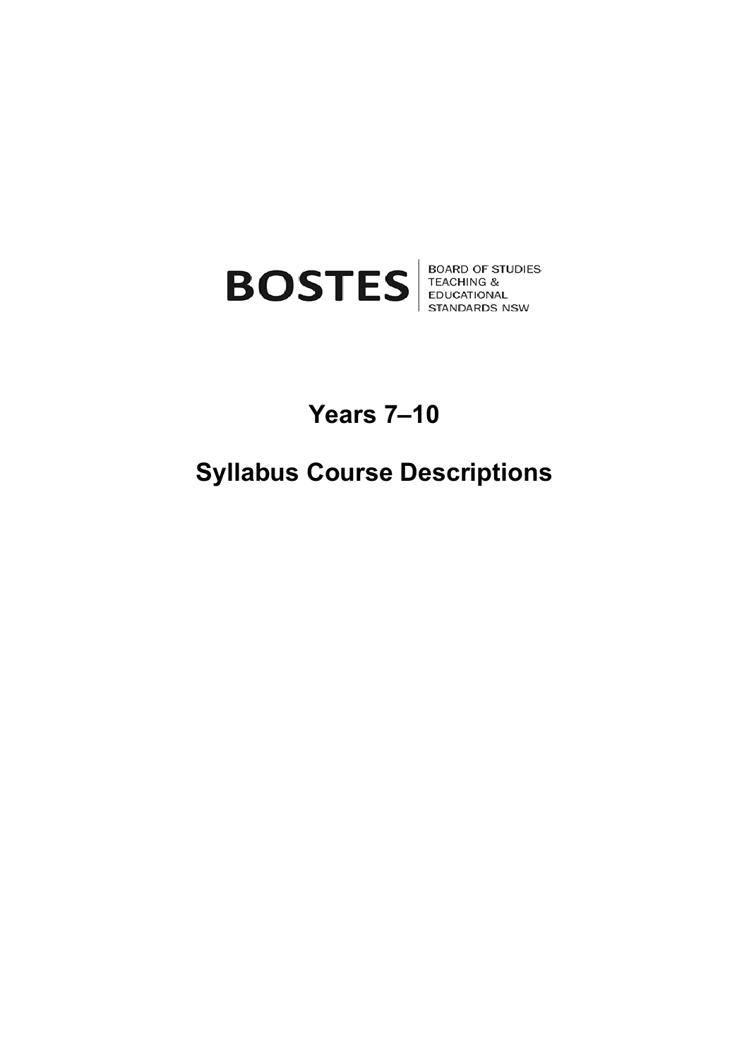

# **Years 7–10**

# **Syllabus Course Descriptions**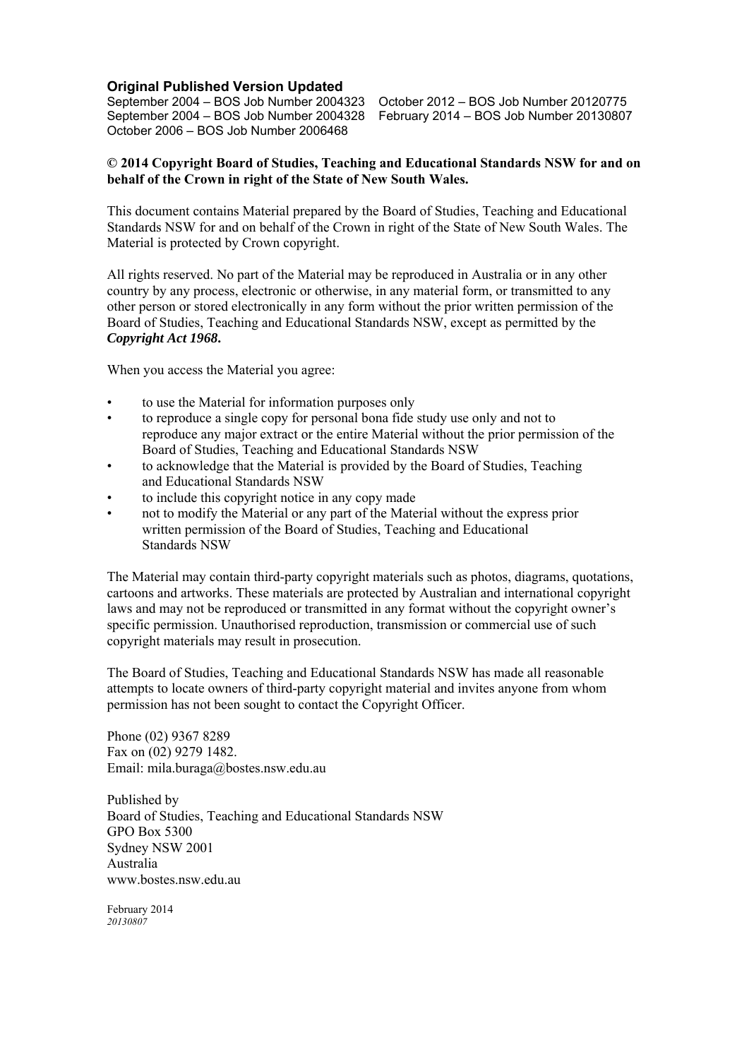#### **Original Published Version Updated**

September 2004 – BOS Job Number 2004323 October 2012 – BOS Job Number 20120775 October 2006 – BOS Job Number 2006468

February 2014 – BOS Job Number 20130807

#### **© 2014 Copyright Board of Studies, Teaching and Educational Standards NSW for and on behalf of the Crown in right of the State of New South Wales.**

This document contains Material prepared by the Board of Studies, Teaching and Educational Standards NSW for and on behalf of the Crown in right of the State of New South Wales. The Material is protected by Crown copyright.

All rights reserved. No part of the Material may be reproduced in Australia or in any other country by any process, electronic or otherwise, in any material form, or transmitted to any other person or stored electronically in any form without the prior written permission of the Board of Studies, Teaching and Educational Standards NSW, except as permitted by the *Copyright Act 1968***.** 

When you access the Material you agree:

- to use the Material for information purposes only
- to reproduce a single copy for personal bona fide study use only and not to reproduce any major extract or the entire Material without the prior permission of the Board of Studies, Teaching and Educational Standards NSW
- to acknowledge that the Material is provided by the Board of Studies, Teaching and Educational Standards NSW
- to include this copyright notice in any copy made
- not to modify the Material or any part of the Material without the express prior written permission of the Board of Studies, Teaching and Educational Standards NSW

The Material may contain third-party copyright materials such as photos, diagrams, quotations, cartoons and artworks. These materials are protected by Australian and international copyright laws and may not be reproduced or transmitted in any format without the copyright owner's specific permission. Unauthorised reproduction, transmission or commercial use of such copyright materials may result in prosecution.

The Board of Studies, Teaching and Educational Standards NSW has made all reasonable attempts to locate owners of third-party copyright material and invites anyone from whom permission has not been sought to contact the Copyright Officer.

Phone (02) 9367 8289 Fax on (02) 9279 1482. Email: mila.buraga@bostes.nsw.edu.au

Published by Board of Studies, Teaching and Educational Standards NSW GPO Box 5300 Sydney NSW 2001 Australia www.bostes.nsw.edu.au

February 2014 *20130807*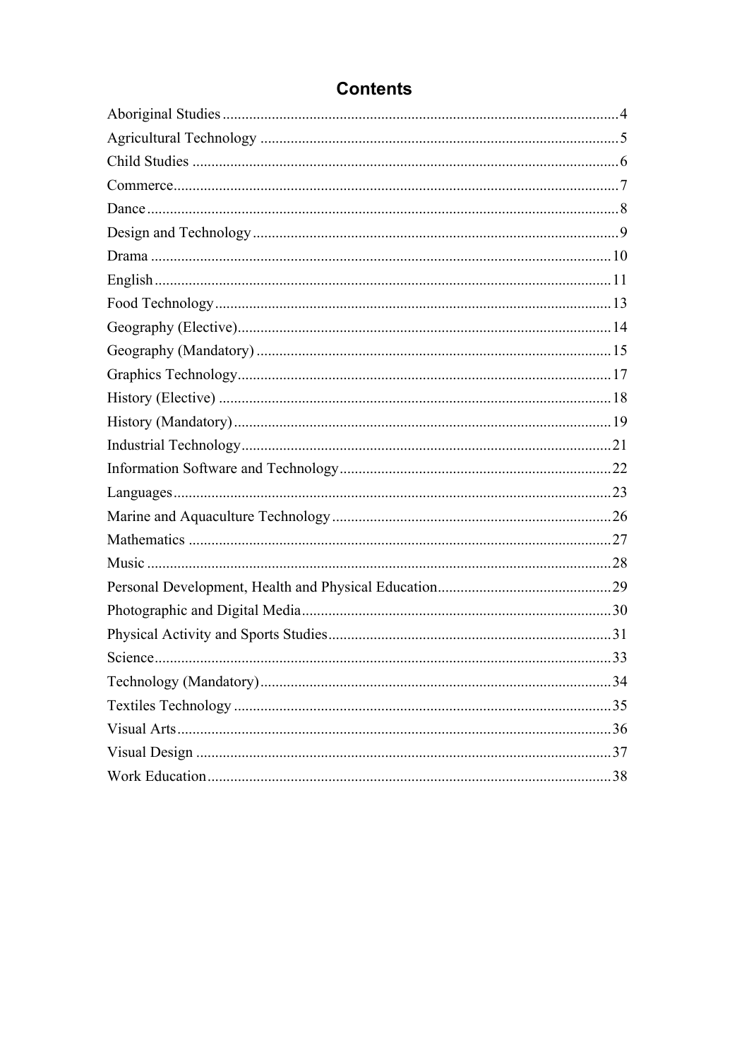## **Contents**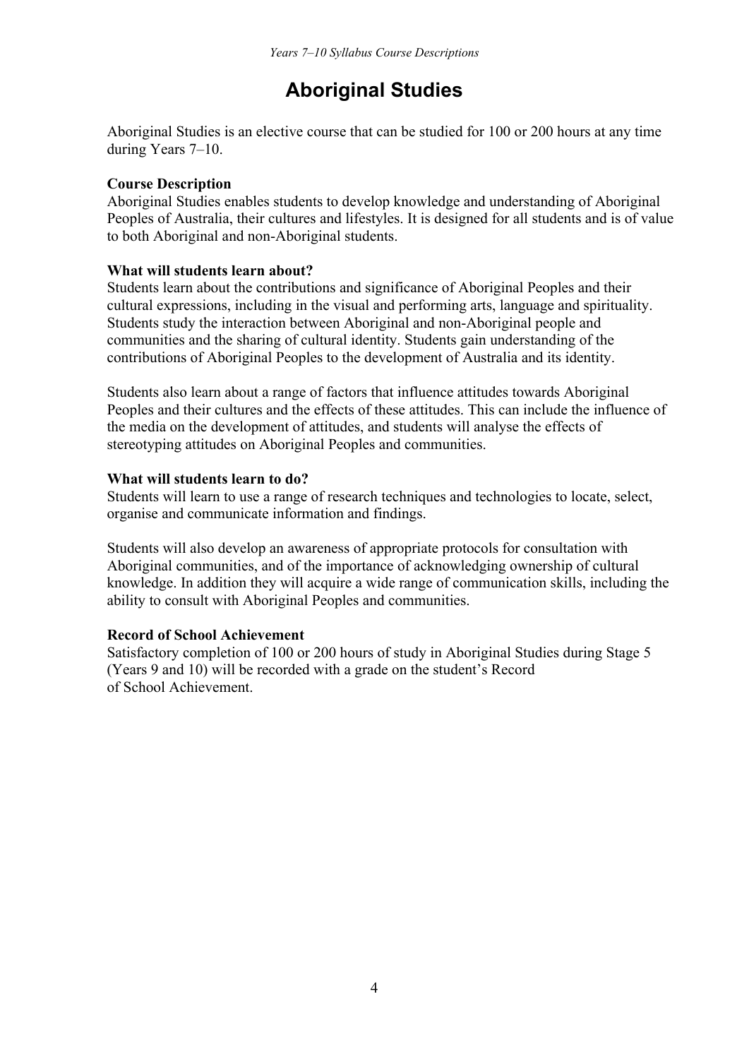## **Aboriginal Studies**

Aboriginal Studies is an elective course that can be studied for 100 or 200 hours at any time during Years 7–10.

### **Course Description**

Aboriginal Studies enables students to develop knowledge and understanding of Aboriginal Peoples of Australia, their cultures and lifestyles. It is designed for all students and is of value to both Aboriginal and non-Aboriginal students.

#### **What will students learn about?**

Students learn about the contributions and significance of Aboriginal Peoples and their cultural expressions, including in the visual and performing arts, language and spirituality. Students study the interaction between Aboriginal and non-Aboriginal people and communities and the sharing of cultural identity. Students gain understanding of the contributions of Aboriginal Peoples to the development of Australia and its identity.

Students also learn about a range of factors that influence attitudes towards Aboriginal Peoples and their cultures and the effects of these attitudes. This can include the influence of the media on the development of attitudes, and students will analyse the effects of stereotyping attitudes on Aboriginal Peoples and communities.

## **What will students learn to do?**

Students will learn to use a range of research techniques and technologies to locate, select, organise and communicate information and findings.

Students will also develop an awareness of appropriate protocols for consultation with Aboriginal communities, and of the importance of acknowledging ownership of cultural knowledge. In addition they will acquire a wide range of communication skills, including the ability to consult with Aboriginal Peoples and communities.

## **Record of School Achievement**

Satisfactory completion of 100 or 200 hours of study in Aboriginal Studies during Stage 5 (Years 9 and 10) will be recorded with a grade on the student's Record of School Achievement.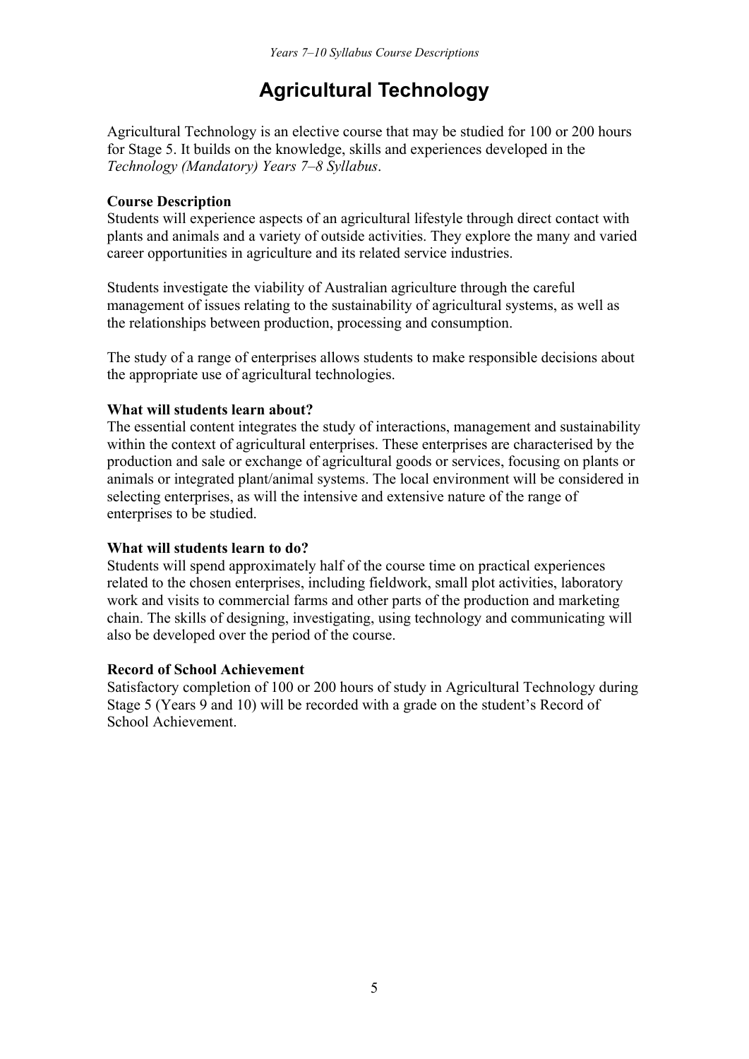## **Agricultural Technology**

Agricultural Technology is an elective course that may be studied for 100 or 200 hours for Stage 5. It builds on the knowledge, skills and experiences developed in the *Technology (Mandatory) Years 7–8 Syllabus*.

#### **Course Description**

Students will experience aspects of an agricultural lifestyle through direct contact with plants and animals and a variety of outside activities. They explore the many and varied career opportunities in agriculture and its related service industries.

Students investigate the viability of Australian agriculture through the careful management of issues relating to the sustainability of agricultural systems, as well as the relationships between production, processing and consumption.

The study of a range of enterprises allows students to make responsible decisions about the appropriate use of agricultural technologies.

#### **What will students learn about?**

The essential content integrates the study of interactions, management and sustainability within the context of agricultural enterprises. These enterprises are characterised by the production and sale or exchange of agricultural goods or services, focusing on plants or animals or integrated plant/animal systems. The local environment will be considered in selecting enterprises, as will the intensive and extensive nature of the range of enterprises to be studied.

#### **What will students learn to do?**

Students will spend approximately half of the course time on practical experiences related to the chosen enterprises, including fieldwork, small plot activities, laboratory work and visits to commercial farms and other parts of the production and marketing chain. The skills of designing, investigating, using technology and communicating will also be developed over the period of the course.

#### **Record of School Achievement**

Satisfactory completion of 100 or 200 hours of study in Agricultural Technology during Stage 5 (Years 9 and 10) will be recorded with a grade on the student's Record of School Achievement.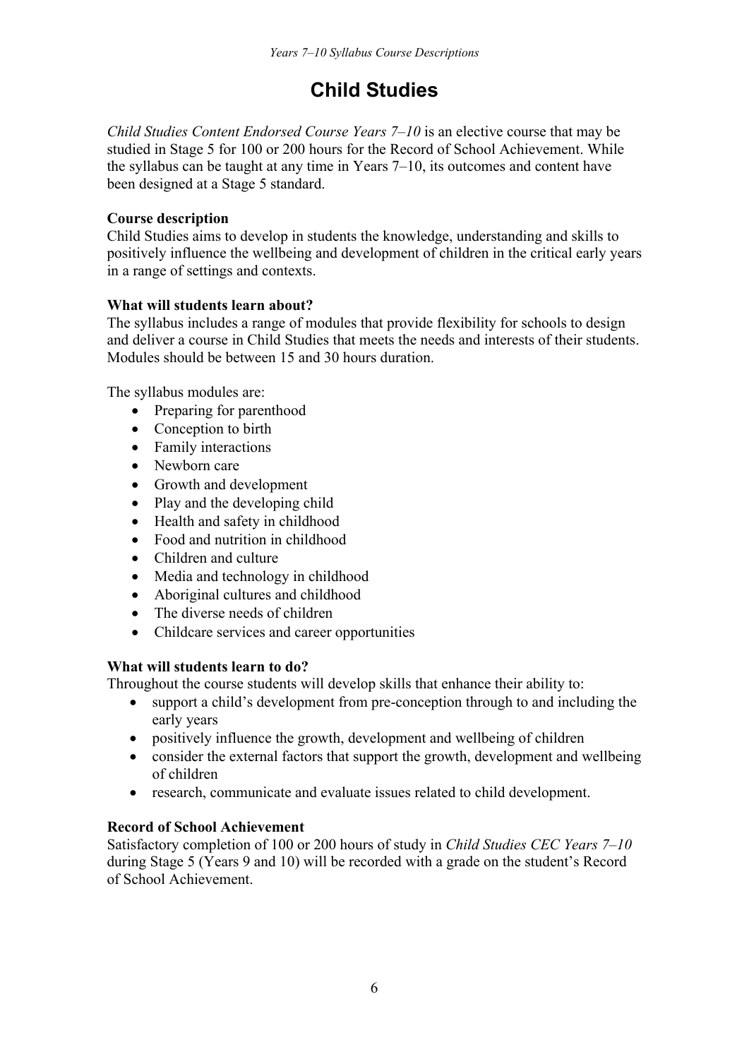## **Child Studies**

*Child Studies Content Endorsed Course Years 7–10* is an elective course that may be studied in Stage 5 for 100 or 200 hours for the Record of School Achievement. While the syllabus can be taught at any time in Years 7–10, its outcomes and content have been designed at a Stage 5 standard.

## **Course description**

Child Studies aims to develop in students the knowledge, understanding and skills to positively influence the wellbeing and development of children in the critical early years in a range of settings and contexts.

## **What will students learn about?**

The syllabus includes a range of modules that provide flexibility for schools to design and deliver a course in Child Studies that meets the needs and interests of their students. Modules should be between 15 and 30 hours duration.

The syllabus modules are:

- Preparing for parenthood
- Conception to birth
- Family interactions
- Newborn care
- Growth and development
- Play and the developing child
- Health and safety in childhood
- Food and nutrition in childhood
- Children and culture
- Media and technology in childhood
- Aboriginal cultures and childhood
- The diverse needs of children
- Childcare services and career opportunities

## **What will students learn to do?**

Throughout the course students will develop skills that enhance their ability to:

- support a child's development from pre-conception through to and including the early years
- positively influence the growth, development and wellbeing of children
- consider the external factors that support the growth, development and wellbeing of children
- research, communicate and evaluate issues related to child development.

## **Record of School Achievement**

Satisfactory completion of 100 or 200 hours of study in *Child Studies CEC Years 7–10* during Stage 5 (Years 9 and 10) will be recorded with a grade on the student's Record of School Achievement.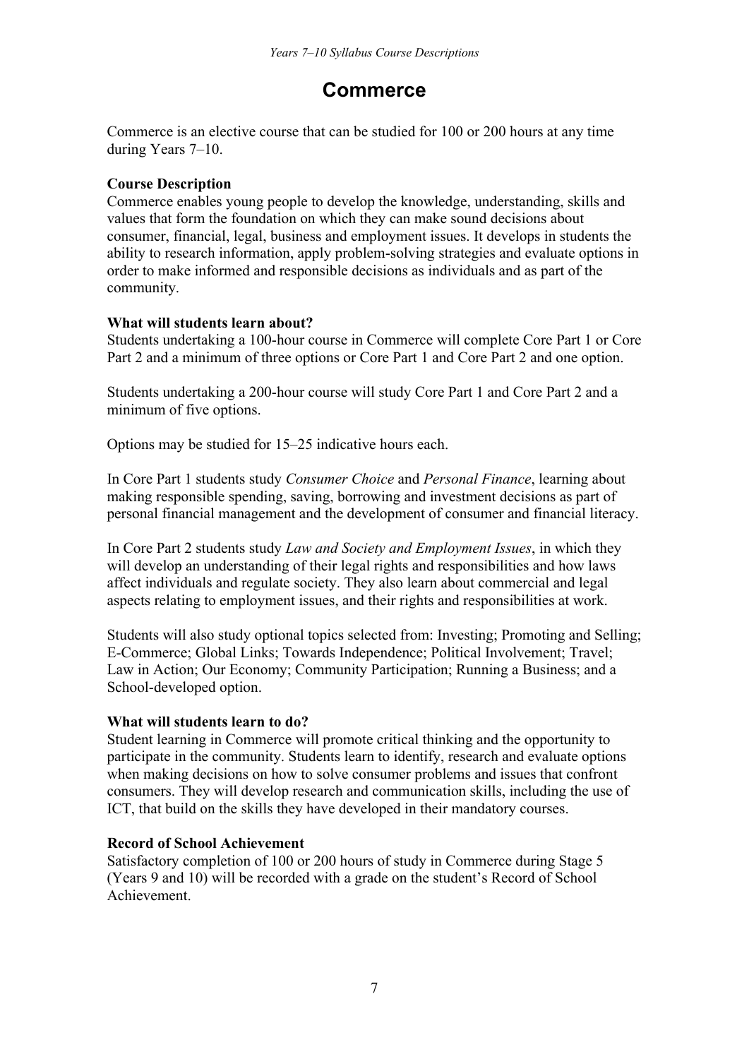## **Commerce**

Commerce is an elective course that can be studied for 100 or 200 hours at any time during Years 7–10.

## **Course Description**

Commerce enables young people to develop the knowledge, understanding, skills and values that form the foundation on which they can make sound decisions about consumer, financial, legal, business and employment issues. It develops in students the ability to research information, apply problem-solving strategies and evaluate options in order to make informed and responsible decisions as individuals and as part of the community.

## **What will students learn about?**

Students undertaking a 100-hour course in Commerce will complete Core Part 1 or Core Part 2 and a minimum of three options or Core Part 1 and Core Part 2 and one option.

Students undertaking a 200-hour course will study Core Part 1 and Core Part 2 and a minimum of five options.

Options may be studied for 15–25 indicative hours each.

In Core Part 1 students study *Consumer Choice* and *Personal Finance*, learning about making responsible spending, saving, borrowing and investment decisions as part of personal financial management and the development of consumer and financial literacy.

In Core Part 2 students study *Law and Society and Employment Issues*, in which they will develop an understanding of their legal rights and responsibilities and how laws affect individuals and regulate society. They also learn about commercial and legal aspects relating to employment issues, and their rights and responsibilities at work.

Students will also study optional topics selected from: Investing; Promoting and Selling; E-Commerce; Global Links; Towards Independence; Political Involvement; Travel; Law in Action; Our Economy; Community Participation; Running a Business; and a School-developed option.

## **What will students learn to do?**

Student learning in Commerce will promote critical thinking and the opportunity to participate in the community. Students learn to identify, research and evaluate options when making decisions on how to solve consumer problems and issues that confront consumers. They will develop research and communication skills, including the use of ICT, that build on the skills they have developed in their mandatory courses.

## **Record of School Achievement**

Satisfactory completion of 100 or 200 hours of study in Commerce during Stage 5 (Years 9 and 10) will be recorded with a grade on the student's Record of School Achievement.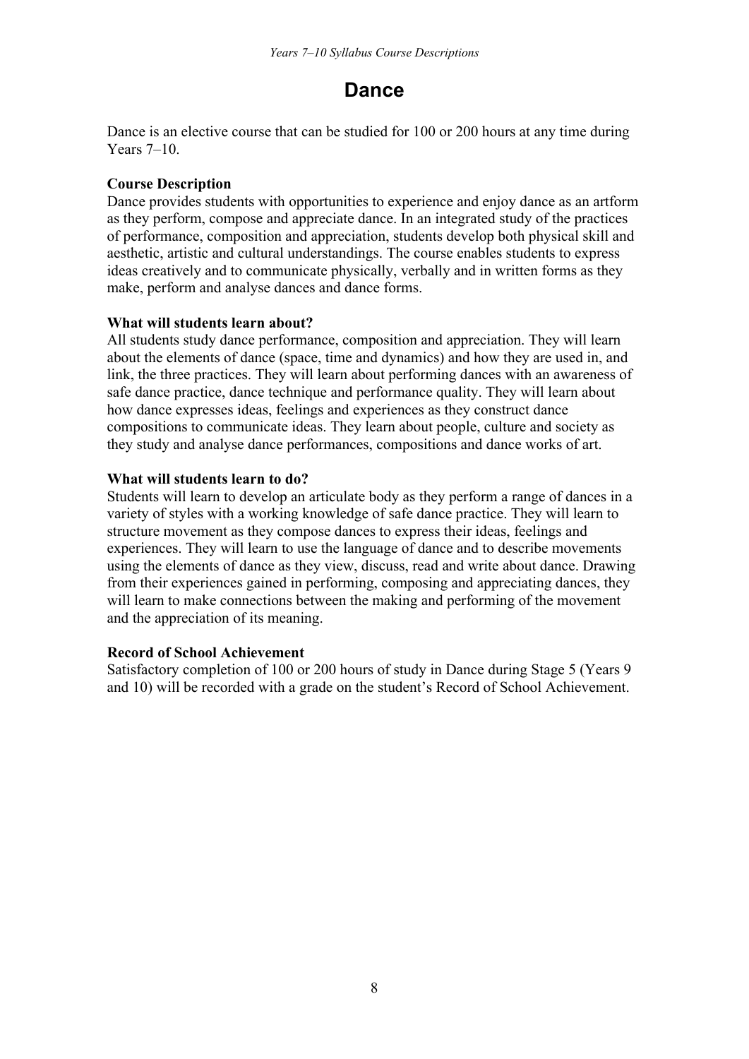## **Dance**

Dance is an elective course that can be studied for 100 or 200 hours at any time during Years 7–10.

## **Course Description**

Dance provides students with opportunities to experience and enjoy dance as an artform as they perform, compose and appreciate dance. In an integrated study of the practices of performance, composition and appreciation, students develop both physical skill and aesthetic, artistic and cultural understandings. The course enables students to express ideas creatively and to communicate physically, verbally and in written forms as they make, perform and analyse dances and dance forms.

## **What will students learn about?**

All students study dance performance, composition and appreciation. They will learn about the elements of dance (space, time and dynamics) and how they are used in, and link, the three practices. They will learn about performing dances with an awareness of safe dance practice, dance technique and performance quality. They will learn about how dance expresses ideas, feelings and experiences as they construct dance compositions to communicate ideas. They learn about people, culture and society as they study and analyse dance performances, compositions and dance works of art.

## **What will students learn to do?**

Students will learn to develop an articulate body as they perform a range of dances in a variety of styles with a working knowledge of safe dance practice. They will learn to structure movement as they compose dances to express their ideas, feelings and experiences. They will learn to use the language of dance and to describe movements using the elements of dance as they view, discuss, read and write about dance. Drawing from their experiences gained in performing, composing and appreciating dances, they will learn to make connections between the making and performing of the movement and the appreciation of its meaning.

## **Record of School Achievement**

Satisfactory completion of 100 or 200 hours of study in Dance during Stage 5 (Years 9 and 10) will be recorded with a grade on the student's Record of School Achievement.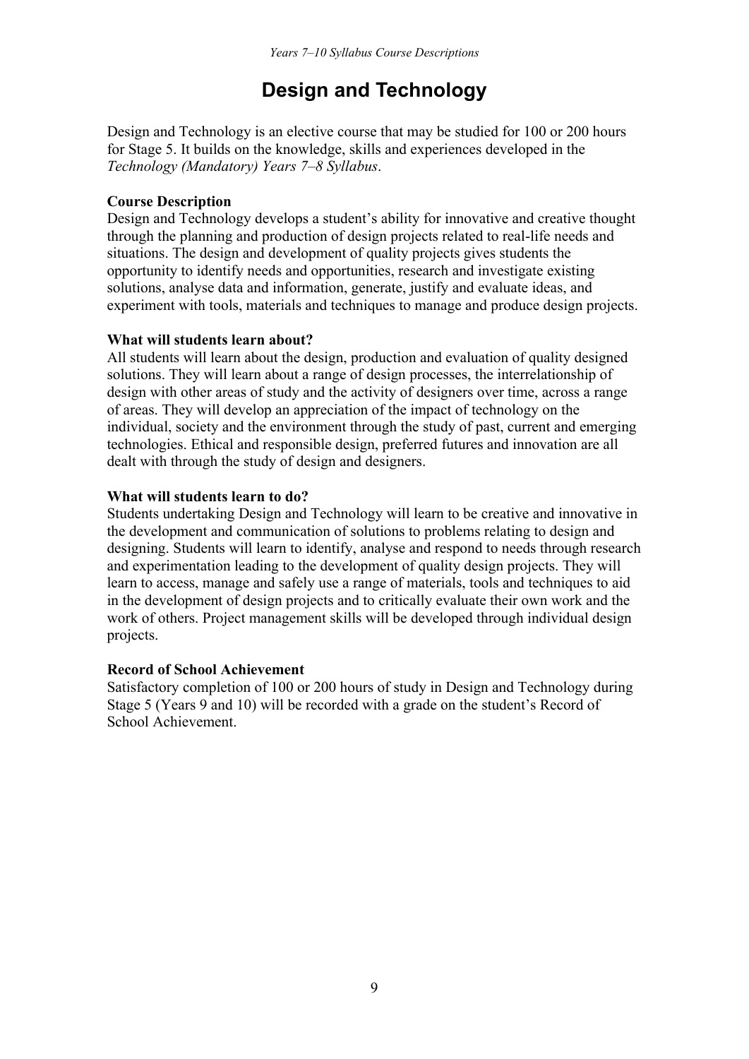## **Design and Technology**

Design and Technology is an elective course that may be studied for 100 or 200 hours for Stage 5. It builds on the knowledge, skills and experiences developed in the *Technology (Mandatory) Years 7–8 Syllabus*.

#### **Course Description**

Design and Technology develops a student's ability for innovative and creative thought through the planning and production of design projects related to real-life needs and situations. The design and development of quality projects gives students the opportunity to identify needs and opportunities, research and investigate existing solutions, analyse data and information, generate, justify and evaluate ideas, and experiment with tools, materials and techniques to manage and produce design projects.

#### **What will students learn about?**

All students will learn about the design, production and evaluation of quality designed solutions. They will learn about a range of design processes, the interrelationship of design with other areas of study and the activity of designers over time, across a range of areas. They will develop an appreciation of the impact of technology on the individual, society and the environment through the study of past, current and emerging technologies. Ethical and responsible design, preferred futures and innovation are all dealt with through the study of design and designers.

## **What will students learn to do?**

Students undertaking Design and Technology will learn to be creative and innovative in the development and communication of solutions to problems relating to design and designing. Students will learn to identify, analyse and respond to needs through research and experimentation leading to the development of quality design projects. They will learn to access, manage and safely use a range of materials, tools and techniques to aid in the development of design projects and to critically evaluate their own work and the work of others. Project management skills will be developed through individual design projects.

#### **Record of School Achievement**

Satisfactory completion of 100 or 200 hours of study in Design and Technology during Stage 5 (Years 9 and 10) will be recorded with a grade on the student's Record of School Achievement.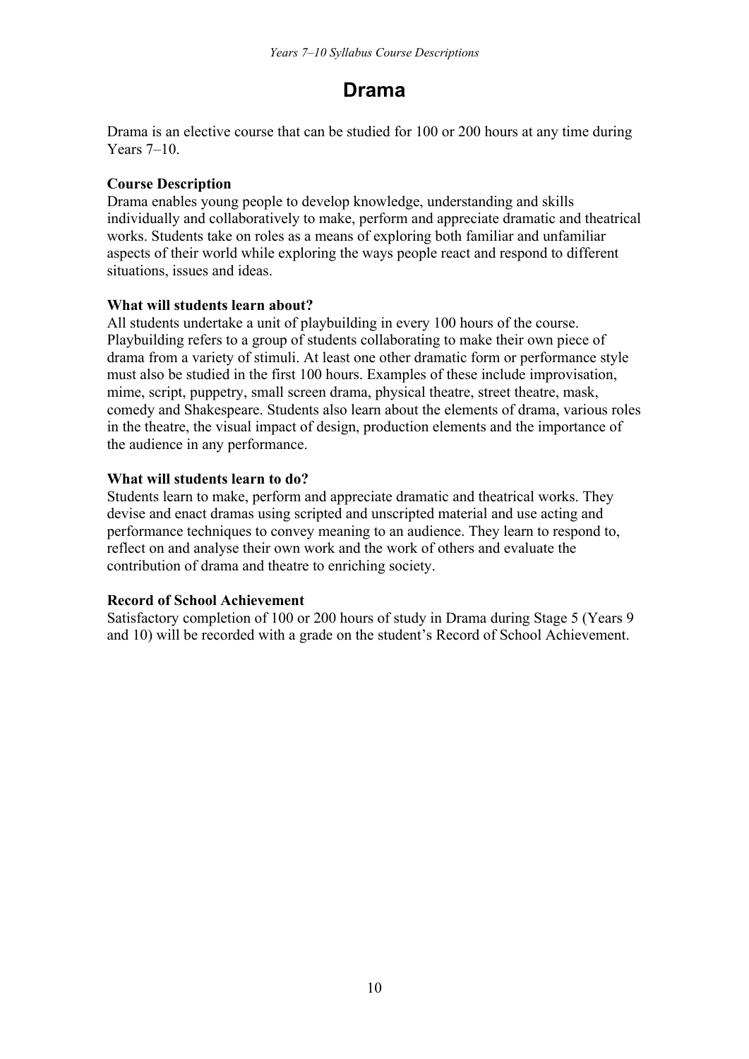## **Drama**

Drama is an elective course that can be studied for 100 or 200 hours at any time during Years 7–10.

## **Course Description**

Drama enables young people to develop knowledge, understanding and skills individually and collaboratively to make, perform and appreciate dramatic and theatrical works. Students take on roles as a means of exploring both familiar and unfamiliar aspects of their world while exploring the ways people react and respond to different situations, issues and ideas.

## **What will students learn about?**

All students undertake a unit of playbuilding in every 100 hours of the course. Playbuilding refers to a group of students collaborating to make their own piece of drama from a variety of stimuli. At least one other dramatic form or performance style must also be studied in the first 100 hours. Examples of these include improvisation, mime, script, puppetry, small screen drama, physical theatre, street theatre, mask, comedy and Shakespeare. Students also learn about the elements of drama, various roles in the theatre, the visual impact of design, production elements and the importance of the audience in any performance.

## **What will students learn to do?**

Students learn to make, perform and appreciate dramatic and theatrical works. They devise and enact dramas using scripted and unscripted material and use acting and performance techniques to convey meaning to an audience. They learn to respond to, reflect on and analyse their own work and the work of others and evaluate the contribution of drama and theatre to enriching society.

## **Record of School Achievement**

Satisfactory completion of 100 or 200 hours of study in Drama during Stage 5 (Years 9 and 10) will be recorded with a grade on the student's Record of School Achievement.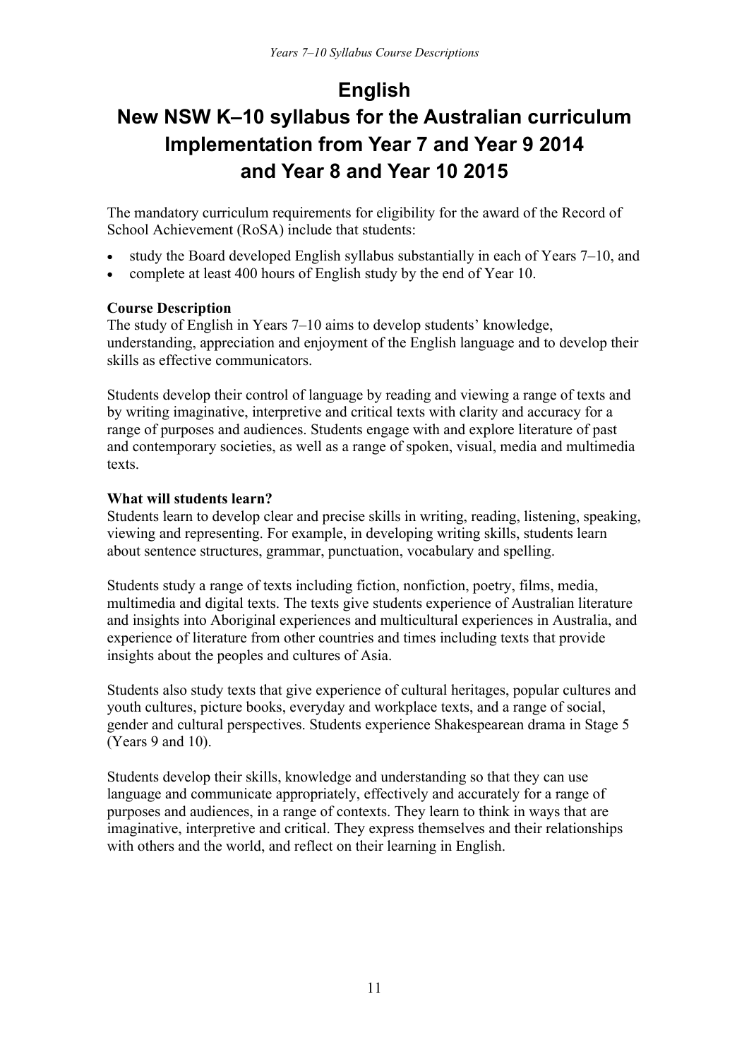## **English**

## **New NSW K–10 syllabus for the Australian curriculum Implementation from Year 7 and Year 9 2014 and Year 8 and Year 10 2015**

The mandatory curriculum requirements for eligibility for the award of the Record of School Achievement (RoSA) include that students:

- study the Board developed English syllabus substantially in each of Years 7–10, and
- complete at least 400 hours of English study by the end of Year 10.

## **Course Description**

The study of English in Years 7–10 aims to develop students' knowledge, understanding, appreciation and enjoyment of the English language and to develop their skills as effective communicators.

Students develop their control of language by reading and viewing a range of texts and by writing imaginative, interpretive and critical texts with clarity and accuracy for a range of purposes and audiences. Students engage with and explore literature of past and contemporary societies, as well as a range of spoken, visual, media and multimedia texts.

## **What will students learn?**

Students learn to develop clear and precise skills in writing, reading, listening, speaking, viewing and representing. For example, in developing writing skills, students learn about sentence structures, grammar, punctuation, vocabulary and spelling.

Students study a range of texts including fiction, nonfiction, poetry, films, media, multimedia and digital texts. The texts give students experience of Australian literature and insights into Aboriginal experiences and multicultural experiences in Australia, and experience of literature from other countries and times including texts that provide insights about the peoples and cultures of Asia.

Students also study texts that give experience of cultural heritages, popular cultures and youth cultures, picture books, everyday and workplace texts, and a range of social, gender and cultural perspectives. Students experience Shakespearean drama in Stage 5 (Years 9 and 10).

Students develop their skills, knowledge and understanding so that they can use language and communicate appropriately, effectively and accurately for a range of purposes and audiences, in a range of contexts. They learn to think in ways that are imaginative, interpretive and critical. They express themselves and their relationships with others and the world, and reflect on their learning in English.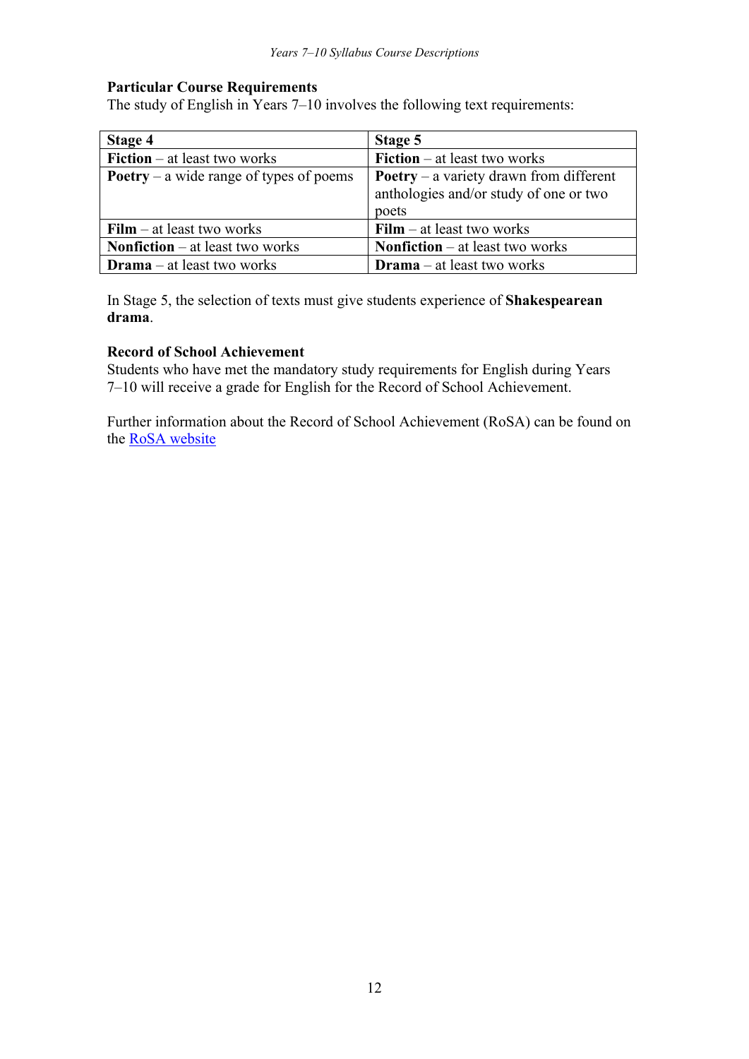#### **Particular Course Requirements**

The study of English in Years 7–10 involves the following text requirements:

| Stage 4                                        | Stage 5                                                                                           |
|------------------------------------------------|---------------------------------------------------------------------------------------------------|
| <b>Fiction</b> – at least two works            | <b>Fiction</b> $-$ at least two works                                                             |
| <b>Poetry</b> – a wide range of types of poems | <b>Poetry</b> – a variety drawn from different<br>anthologies and/or study of one or two<br>poets |
| $\textbf{Film} - \text{at least two works}$    | $Film – at least two works$                                                                       |
| <b>Nonfiction</b> $-$ at least two works       | <b>Nonfiction</b> $-$ at least two works                                                          |
| <b>Drama</b> $-$ at least two works            | <b>Drama</b> $-$ at least two works                                                               |

In Stage 5, the selection of texts must give students experience of **Shakespearean drama**.

## **Record of School Achievement**

Students who have met the mandatory study requirements for English during Years 7–10 will receive a grade for English for the Record of School Achievement.

Further information about the Record of School Achievement (RoSA) can be found on the [RoSA website](http://www.boardofstudies.nsw.edu.au/rosa)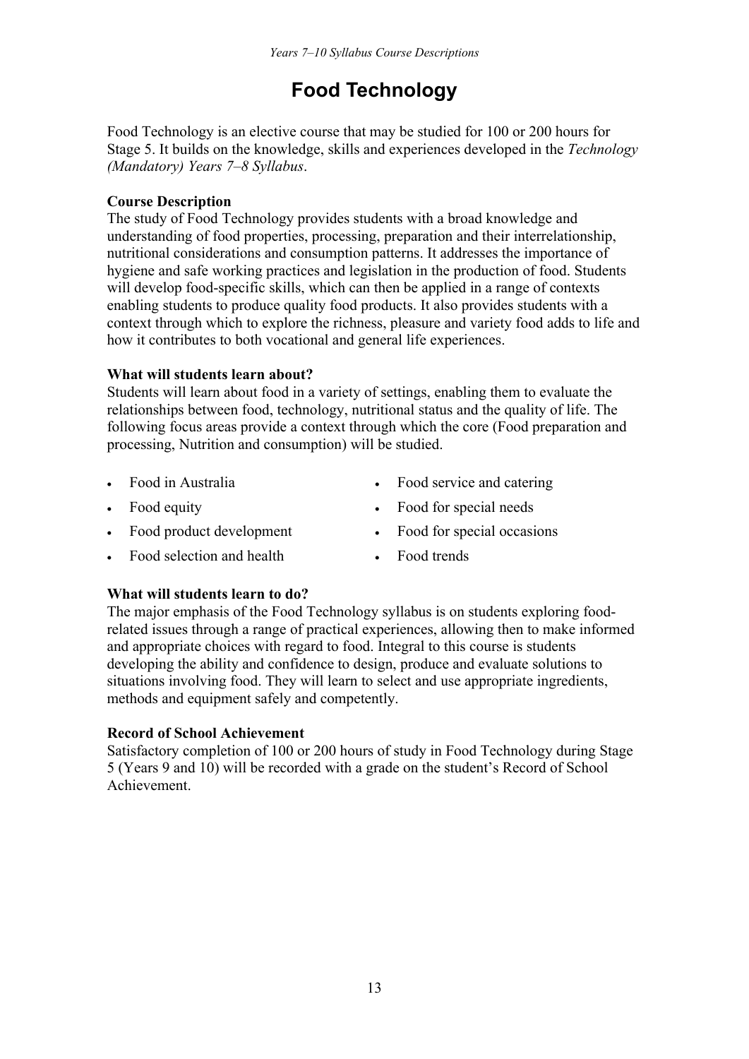## **Food Technology**

Food Technology is an elective course that may be studied for 100 or 200 hours for Stage 5. It builds on the knowledge, skills and experiences developed in the *Technology (Mandatory) Years 7–8 Syllabus*.

## **Course Description**

The study of Food Technology provides students with a broad knowledge and understanding of food properties, processing, preparation and their interrelationship, nutritional considerations and consumption patterns. It addresses the importance of hygiene and safe working practices and legislation in the production of food. Students will develop food-specific skills, which can then be applied in a range of contexts enabling students to produce quality food products. It also provides students with a context through which to explore the richness, pleasure and variety food adds to life and how it contributes to both vocational and general life experiences.

## **What will students learn about?**

Students will learn about food in a variety of settings, enabling them to evaluate the relationships between food, technology, nutritional status and the quality of life. The following focus areas provide a context through which the core (Food preparation and processing, Nutrition and consumption) will be studied.

- 
- 
- Food product development Food for special occasions
- Food selection and health Food trends
- Food in Australia **Food service and catering** Food service and catering
- Food equity **Food for special needs** 
	-
	-

## **What will students learn to do?**

The major emphasis of the Food Technology syllabus is on students exploring foodrelated issues through a range of practical experiences, allowing then to make informed and appropriate choices with regard to food. Integral to this course is students developing the ability and confidence to design, produce and evaluate solutions to situations involving food. They will learn to select and use appropriate ingredients, methods and equipment safely and competently.

## **Record of School Achievement**

Satisfactory completion of 100 or 200 hours of study in Food Technology during Stage 5 (Years 9 and 10) will be recorded with a grade on the student's Record of School Achievement.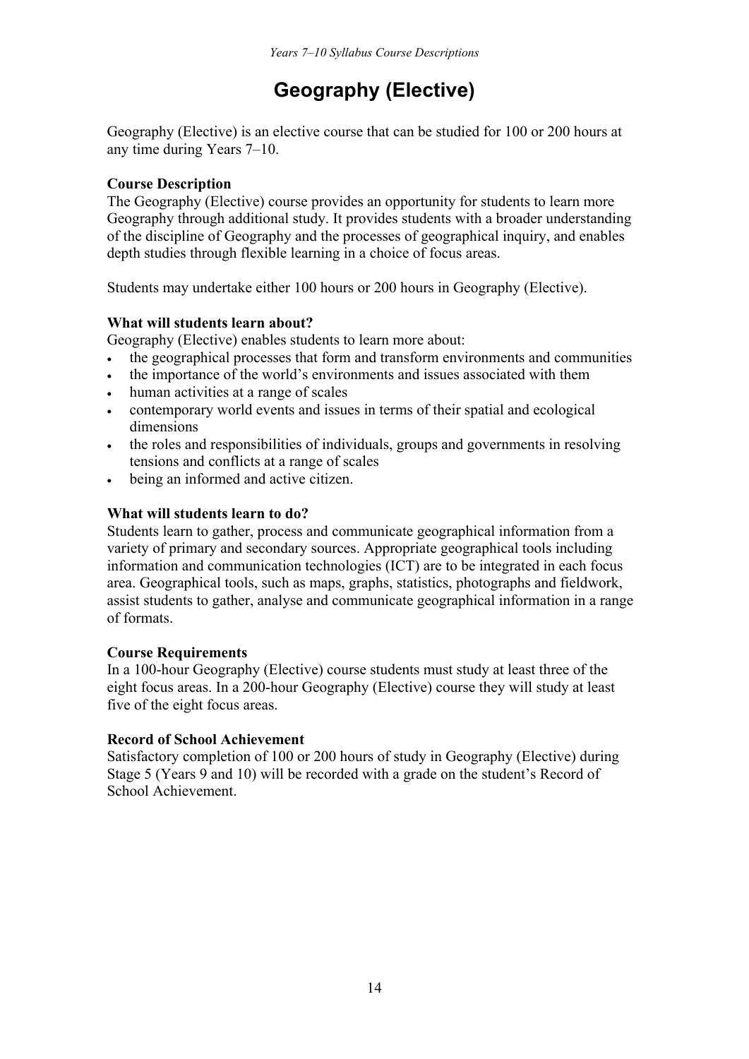## **Geography (Elective)**

Geography (Elective) is an elective course that can be studied for 100 or 200 hours at any time during Years 7–10.

## **Course Description**

The Geography (Elective) course provides an opportunity for students to learn more Geography through additional study. It provides students with a broader understanding of the discipline of Geography and the processes of geographical inquiry, and enables depth studies through flexible learning in a choice of focus areas.

Students may undertake either 100 hours or 200 hours in Geography (Elective).

## **What will students learn about?**

Geography (Elective) enables students to learn more about:

- the geographical processes that form and transform environments and communities
- the importance of the world's environments and issues associated with them
- human activities at a range of scales
- contemporary world events and issues in terms of their spatial and ecological dimensions
- the roles and responsibilities of individuals, groups and governments in resolving tensions and conflicts at a range of scales
- being an informed and active citizen.

## **What will students learn to do?**

Students learn to gather, process and communicate geographical information from a variety of primary and secondary sources. Appropriate geographical tools including information and communication technologies (ICT) are to be integrated in each focus area. Geographical tools, such as maps, graphs, statistics, photographs and fieldwork, assist students to gather, analyse and communicate geographical information in a range of formats.

## **Course Requirements**

In a 100-hour Geography (Elective) course students must study at least three of the eight focus areas. In a 200-hour Geography (Elective) course they will study at least five of the eight focus areas.

## **Record of School Achievement**

Satisfactory completion of 100 or 200 hours of study in Geography (Elective) during Stage 5 (Years 9 and 10) will be recorded with a grade on the student's Record of School Achievement.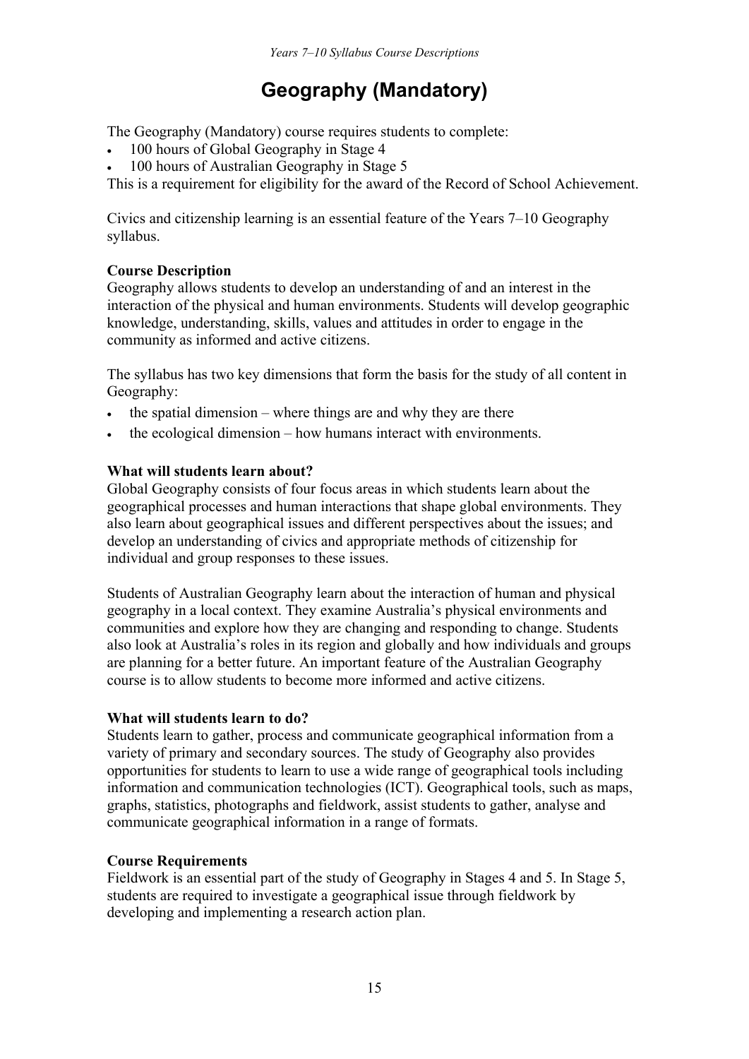## **Geography (Mandatory)**

The Geography (Mandatory) course requires students to complete:

- 100 hours of Global Geography in Stage 4
- 100 hours of Australian Geography in Stage 5

This is a requirement for eligibility for the award of the Record of School Achievement.

Civics and citizenship learning is an essential feature of the Years 7–10 Geography syllabus.

## **Course Description**

Geography allows students to develop an understanding of and an interest in the interaction of the physical and human environments. Students will develop geographic knowledge, understanding, skills, values and attitudes in order to engage in the community as informed and active citizens.

The syllabus has two key dimensions that form the basis for the study of all content in Geography:

- the spatial dimension where things are and why they are there
- the ecological dimension how humans interact with environments.

## **What will students learn about?**

Global Geography consists of four focus areas in which students learn about the geographical processes and human interactions that shape global environments. They also learn about geographical issues and different perspectives about the issues; and develop an understanding of civics and appropriate methods of citizenship for individual and group responses to these issues.

Students of Australian Geography learn about the interaction of human and physical geography in a local context. They examine Australia's physical environments and communities and explore how they are changing and responding to change. Students also look at Australia's roles in its region and globally and how individuals and groups are planning for a better future. An important feature of the Australian Geography course is to allow students to become more informed and active citizens.

## **What will students learn to do?**

Students learn to gather, process and communicate geographical information from a variety of primary and secondary sources. The study of Geography also provides opportunities for students to learn to use a wide range of geographical tools including information and communication technologies (ICT). Geographical tools, such as maps, graphs, statistics, photographs and fieldwork, assist students to gather, analyse and communicate geographical information in a range of formats.

## **Course Requirements**

Fieldwork is an essential part of the study of Geography in Stages 4 and 5. In Stage 5, students are required to investigate a geographical issue through fieldwork by developing and implementing a research action plan.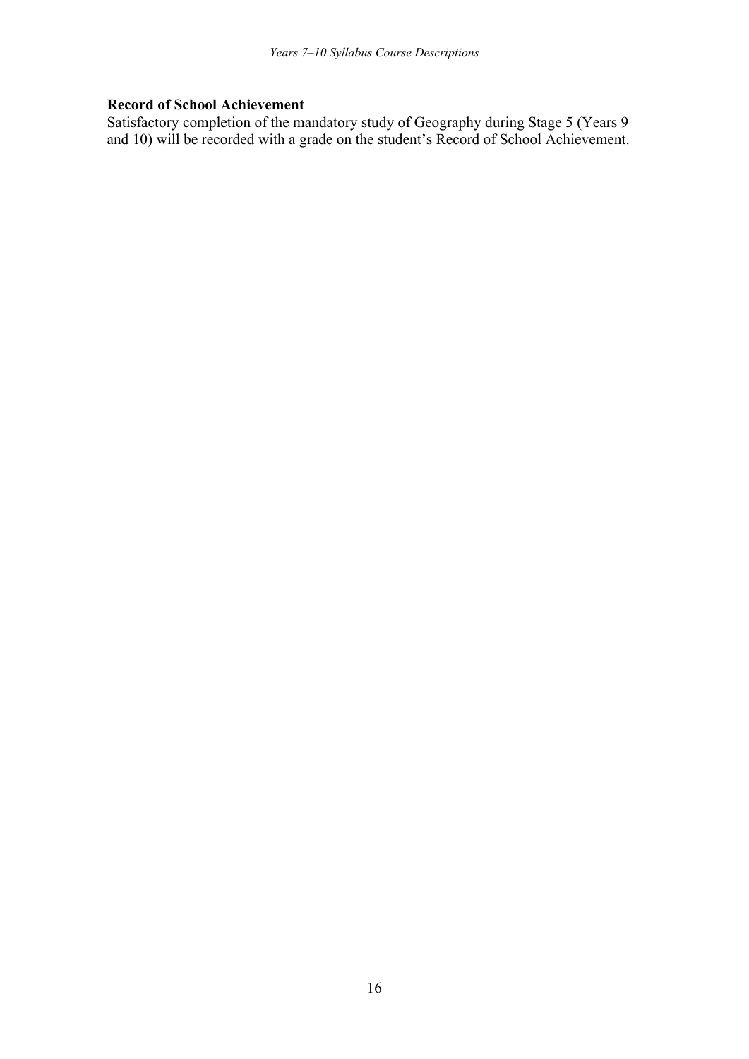### **Record of School Achievement**

Satisfactory completion of the mandatory study of Geography during Stage 5 (Years 9 and 10) will be recorded with a grade on the student's Record of School Achievement.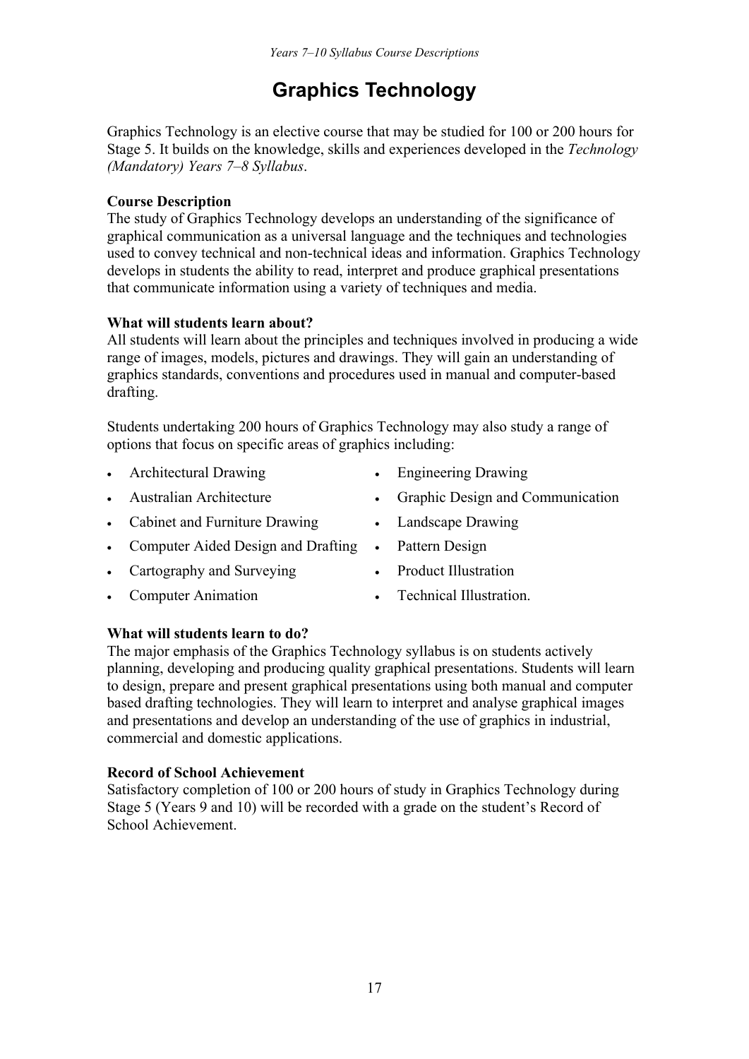## **Graphics Technology**

Graphics Technology is an elective course that may be studied for 100 or 200 hours for Stage 5. It builds on the knowledge, skills and experiences developed in the *Technology (Mandatory) Years 7–8 Syllabus*.

## **Course Description**

The study of Graphics Technology develops an understanding of the significance of graphical communication as a universal language and the techniques and technologies used to convey technical and non-technical ideas and information. Graphics Technology develops in students the ability to read, interpret and produce graphical presentations that communicate information using a variety of techniques and media.

## **What will students learn about?**

All students will learn about the principles and techniques involved in producing a wide range of images, models, pictures and drawings. They will gain an understanding of graphics standards, conventions and procedures used in manual and computer-based drafting.

Students undertaking 200 hours of Graphics Technology may also study a range of options that focus on specific areas of graphics including:

- Architectural Drawing Engineering Drawing
- 
- Cabinet and Furniture Drawing Landscape Drawing
- Computer Aided Design and Drafting Pattern Design
- Cartography and Surveying Product Illustration
- Computer Animation **Computer Animation Computer Animation Computer Animation**
- 
- Australian Architecture **Communication** Graphic Design and Communication
	-
	-
	-
	-

## **What will students learn to do?**

The major emphasis of the Graphics Technology syllabus is on students actively planning, developing and producing quality graphical presentations. Students will learn to design, prepare and present graphical presentations using both manual and computer based drafting technologies. They will learn to interpret and analyse graphical images and presentations and develop an understanding of the use of graphics in industrial, commercial and domestic applications.

## **Record of School Achievement**

Satisfactory completion of 100 or 200 hours of study in Graphics Technology during Stage 5 (Years 9 and 10) will be recorded with a grade on the student's Record of School Achievement.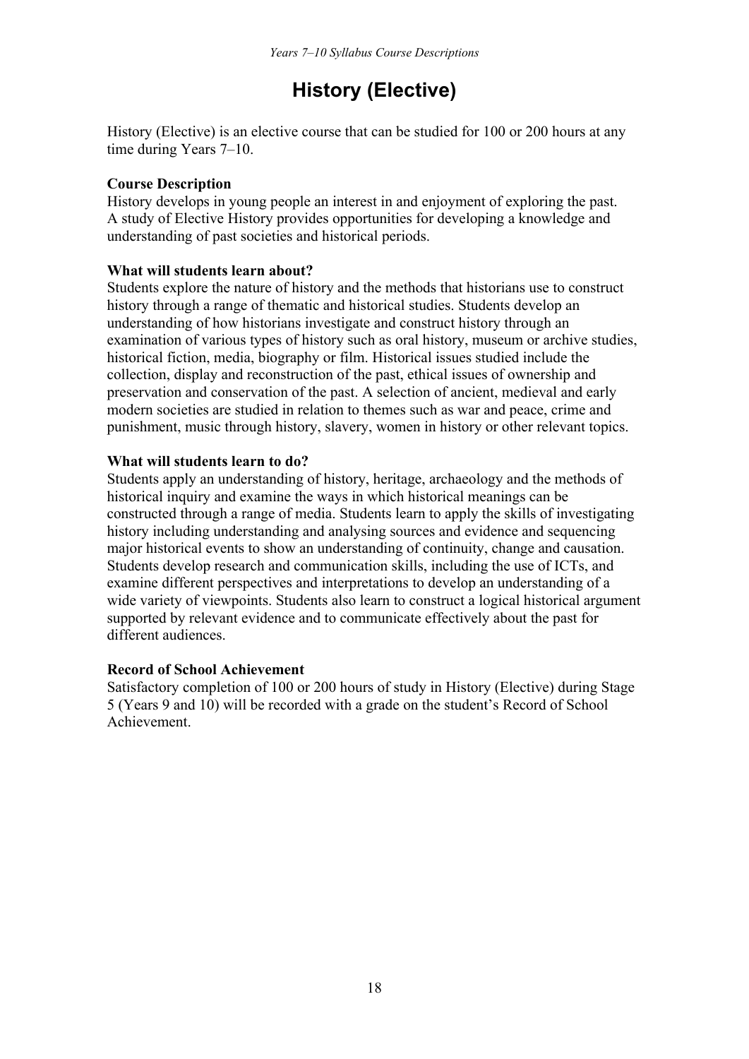## **History (Elective)**

History (Elective) is an elective course that can be studied for 100 or 200 hours at any time during Years 7–10.

#### **Course Description**

History develops in young people an interest in and enjoyment of exploring the past. A study of Elective History provides opportunities for developing a knowledge and understanding of past societies and historical periods.

#### **What will students learn about?**

Students explore the nature of history and the methods that historians use to construct history through a range of thematic and historical studies. Students develop an understanding of how historians investigate and construct history through an examination of various types of history such as oral history, museum or archive studies, historical fiction, media, biography or film. Historical issues studied include the collection, display and reconstruction of the past, ethical issues of ownership and preservation and conservation of the past. A selection of ancient, medieval and early modern societies are studied in relation to themes such as war and peace, crime and punishment, music through history, slavery, women in history or other relevant topics.

#### **What will students learn to do?**

Students apply an understanding of history, heritage, archaeology and the methods of historical inquiry and examine the ways in which historical meanings can be constructed through a range of media. Students learn to apply the skills of investigating history including understanding and analysing sources and evidence and sequencing major historical events to show an understanding of continuity, change and causation. Students develop research and communication skills, including the use of ICTs, and examine different perspectives and interpretations to develop an understanding of a wide variety of viewpoints. Students also learn to construct a logical historical argument supported by relevant evidence and to communicate effectively about the past for different audiences.

#### **Record of School Achievement**

Satisfactory completion of 100 or 200 hours of study in History (Elective) during Stage 5 (Years 9 and 10) will be recorded with a grade on the student's Record of School Achievement.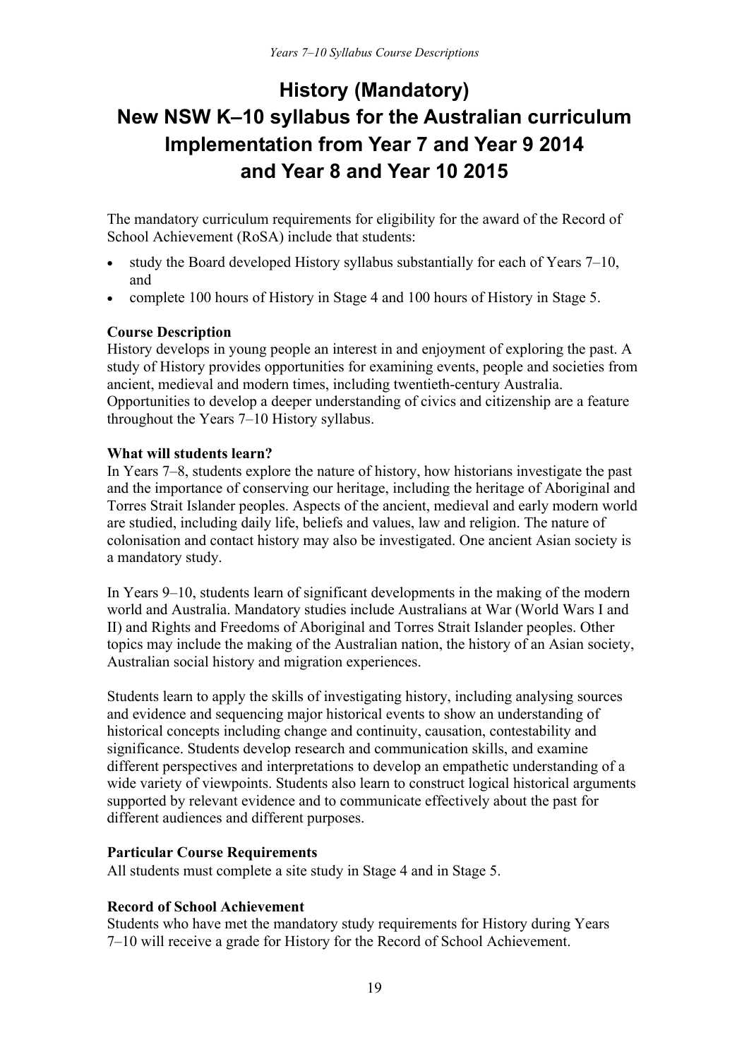## **History (Mandatory) New NSW K–10 syllabus for the Australian curriculum Implementation from Year 7 and Year 9 2014 and Year 8 and Year 10 2015**

The mandatory curriculum requirements for eligibility for the award of the Record of School Achievement (RoSA) include that students:

- study the Board developed History syllabus substantially for each of Years 7–10, and
- complete 100 hours of History in Stage 4 and 100 hours of History in Stage 5.

#### **Course Description**

History develops in young people an interest in and enjoyment of exploring the past. A study of History provides opportunities for examining events, people and societies from ancient, medieval and modern times, including twentieth-century Australia. Opportunities to develop a deeper understanding of civics and citizenship are a feature throughout the Years 7–10 History syllabus.

#### **What will students learn?**

In Years 7–8, students explore the nature of history, how historians investigate the past and the importance of conserving our heritage, including the heritage of Aboriginal and Torres Strait Islander peoples. Aspects of the ancient, medieval and early modern world are studied, including daily life, beliefs and values, law and religion. The nature of colonisation and contact history may also be investigated. One ancient Asian society is a mandatory study.

In Years 9–10, students learn of significant developments in the making of the modern world and Australia. Mandatory studies include Australians at War (World Wars I and II) and Rights and Freedoms of Aboriginal and Torres Strait Islander peoples. Other topics may include the making of the Australian nation, the history of an Asian society, Australian social history and migration experiences.

Students learn to apply the skills of investigating history, including analysing sources and evidence and sequencing major historical events to show an understanding of historical concepts including change and continuity, causation, contestability and significance. Students develop research and communication skills, and examine different perspectives and interpretations to develop an empathetic understanding of a wide variety of viewpoints. Students also learn to construct logical historical arguments supported by relevant evidence and to communicate effectively about the past for different audiences and different purposes.

#### **Particular Course Requirements**

All students must complete a site study in Stage 4 and in Stage 5.

## **Record of School Achievement**

Students who have met the mandatory study requirements for History during Years 7–10 will receive a grade for History for the Record of School Achievement.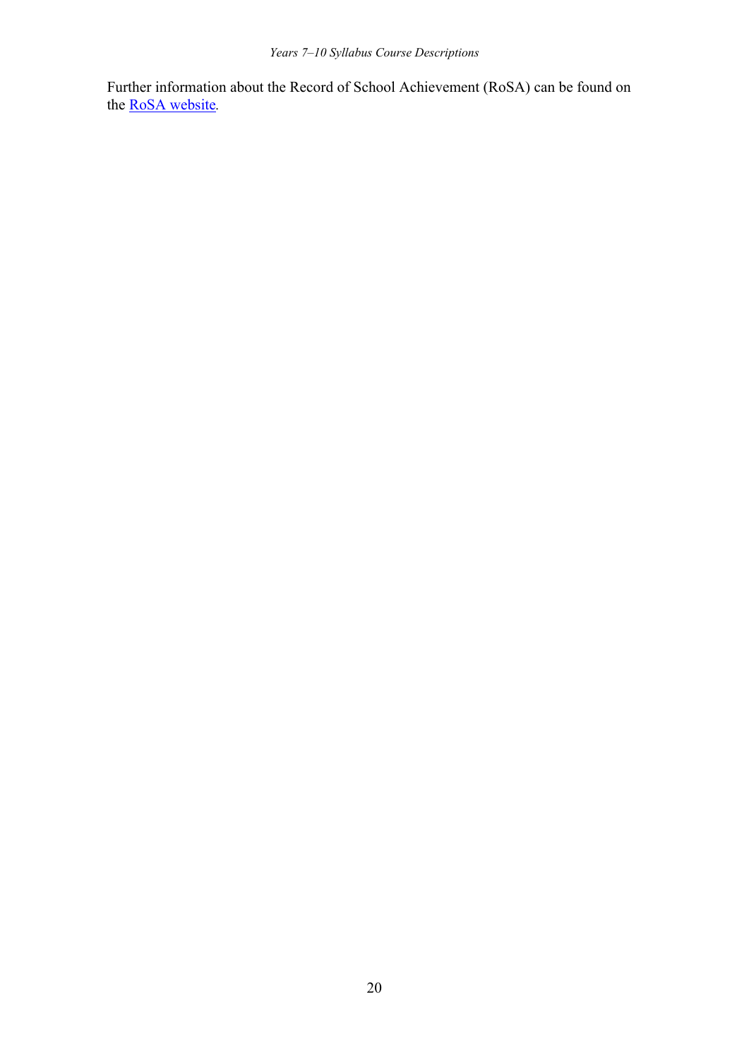Further information about the Record of School Achievement (RoSA) can be found on the [RoSA website](http://www.boardofstudies.nsw.edu.au/rosa/)*.*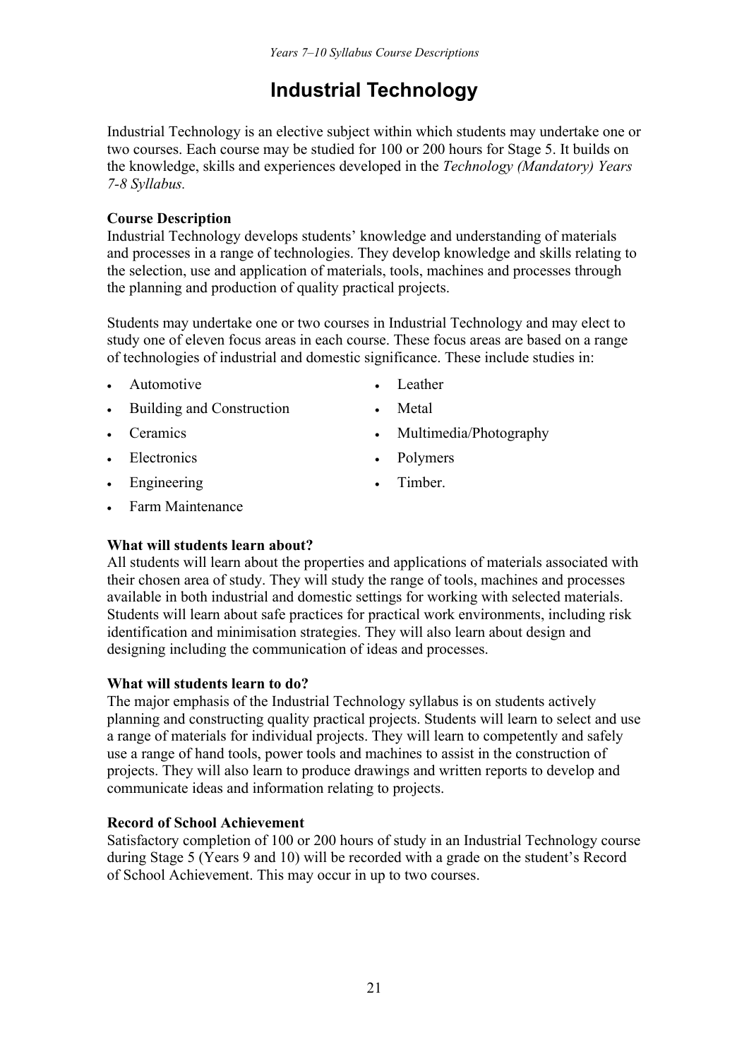## **Industrial Technology**

Industrial Technology is an elective subject within which students may undertake one or two courses. Each course may be studied for 100 or 200 hours for Stage 5. It builds on the knowledge, skills and experiences developed in the *Technology (Mandatory) Years 7-8 Syllabus.* 

## **Course Description**

Industrial Technology develops students' knowledge and understanding of materials and processes in a range of technologies. They develop knowledge and skills relating to the selection, use and application of materials, tools, machines and processes through the planning and production of quality practical projects.

Students may undertake one or two courses in Industrial Technology and may elect to study one of eleven focus areas in each course. These focus areas are based on a range of technologies of industrial and domestic significance. These include studies in:

- Automotive **Leather Leather**
- 
- Building and Construction Metal
- 
- 
- Engineering Timber.
- Farm Maintenance
- Ceramics Multimedia/Photography
- Electronics Polymers
	-

## **What will students learn about?**

All students will learn about the properties and applications of materials associated with their chosen area of study. They will study the range of tools, machines and processes available in both industrial and domestic settings for working with selected materials. Students will learn about safe practices for practical work environments, including risk identification and minimisation strategies. They will also learn about design and designing including the communication of ideas and processes.

## **What will students learn to do?**

The major emphasis of the Industrial Technology syllabus is on students actively planning and constructing quality practical projects. Students will learn to select and use a range of materials for individual projects. They will learn to competently and safely use a range of hand tools, power tools and machines to assist in the construction of projects. They will also learn to produce drawings and written reports to develop and communicate ideas and information relating to projects.

## **Record of School Achievement**

Satisfactory completion of 100 or 200 hours of study in an Industrial Technology course during Stage 5 (Years 9 and 10) will be recorded with a grade on the student's Record of School Achievement. This may occur in up to two courses.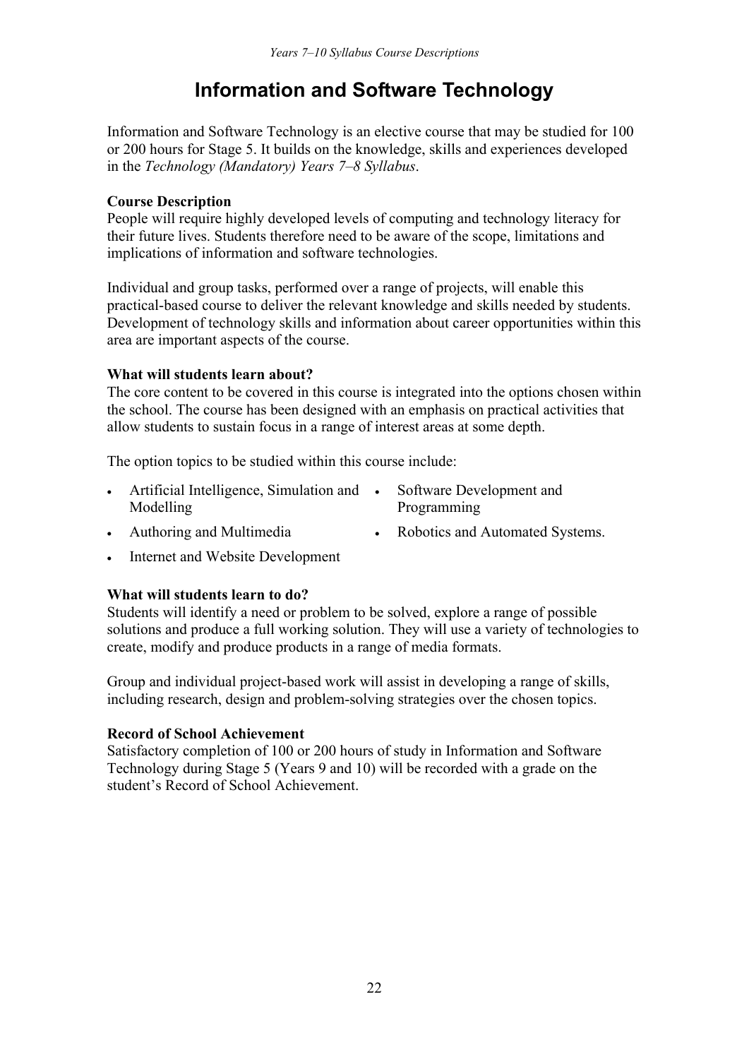## **Information and Software Technology**

Information and Software Technology is an elective course that may be studied for 100 or 200 hours for Stage 5. It builds on the knowledge, skills and experiences developed in the *Technology (Mandatory) Years 7–8 Syllabus*.

## **Course Description**

People will require highly developed levels of computing and technology literacy for their future lives. Students therefore need to be aware of the scope, limitations and implications of information and software technologies.

Individual and group tasks, performed over a range of projects, will enable this practical-based course to deliver the relevant knowledge and skills needed by students. Development of technology skills and information about career opportunities within this area are important aspects of the course.

#### **What will students learn about?**

The core content to be covered in this course is integrated into the options chosen within the school. The course has been designed with an emphasis on practical activities that allow students to sustain focus in a range of interest areas at some depth.

The option topics to be studied within this course include:

- Artificial Intelligence, Simulation and Modelling
- Software Development and Programming
- Authoring and Multimedia Robotics and Automated Systems.
	-
- Internet and Website Development

## **What will students learn to do?**

Students will identify a need or problem to be solved, explore a range of possible solutions and produce a full working solution. They will use a variety of technologies to create, modify and produce products in a range of media formats.

Group and individual project-based work will assist in developing a range of skills, including research, design and problem-solving strategies over the chosen topics.

#### **Record of School Achievement**

Satisfactory completion of 100 or 200 hours of study in Information and Software Technology during Stage 5 (Years 9 and 10) will be recorded with a grade on the student's Record of School Achievement.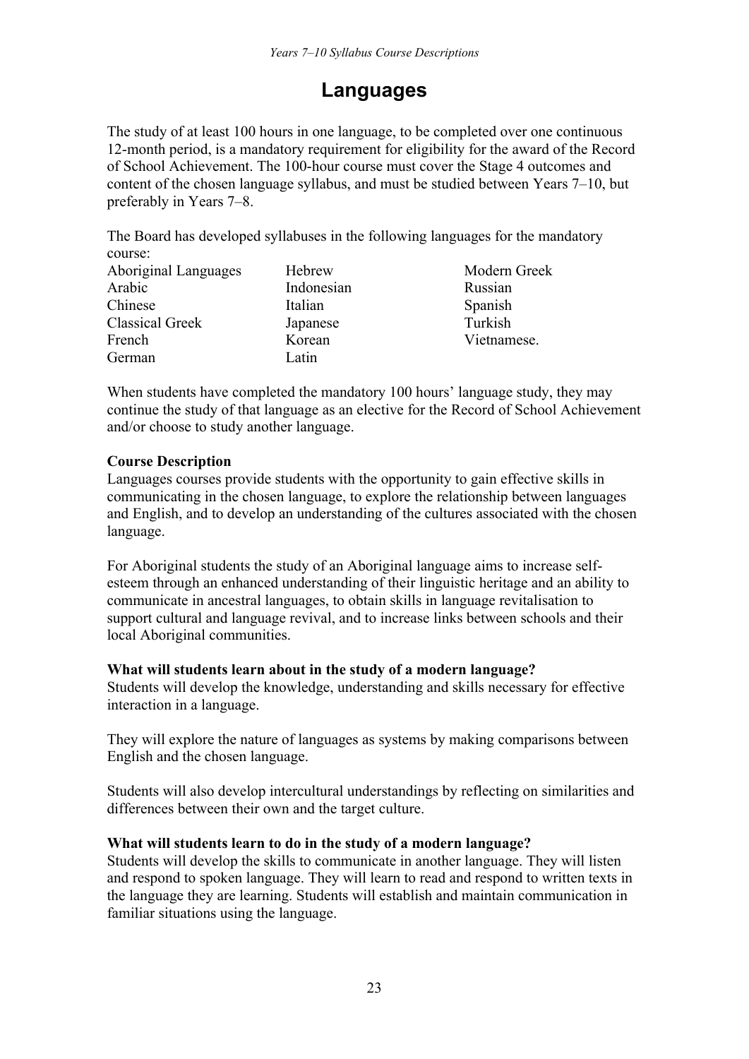## **Languages**

The study of at least 100 hours in one language, to be completed over one continuous 12-month period, is a mandatory requirement for eligibility for the award of the Record of School Achievement. The 100-hour course must cover the Stage 4 outcomes and content of the chosen language syllabus, and must be studied between Years 7–10, but preferably in Years 7–8.

The Board has developed syllabuses in the following languages for the mandatory course:

| Aboriginal Languages   | Hebrew     | Modern Greek |
|------------------------|------------|--------------|
| Arabic                 | Indonesian | Russian      |
| Chinese                | Italian    | Spanish      |
| <b>Classical Greek</b> | Japanese   | Turkish      |
| French                 | Korean     | Vietnamese.  |
| German                 | Latin      |              |

When students have completed the mandatory 100 hours' language study, they may continue the study of that language as an elective for the Record of School Achievement and/or choose to study another language.

#### **Course Description**

Languages courses provide students with the opportunity to gain effective skills in communicating in the chosen language, to explore the relationship between languages and English, and to develop an understanding of the cultures associated with the chosen language.

For Aboriginal students the study of an Aboriginal language aims to increase selfesteem through an enhanced understanding of their linguistic heritage and an ability to communicate in ancestral languages, to obtain skills in language revitalisation to support cultural and language revival, and to increase links between schools and their local Aboriginal communities.

#### **What will students learn about in the study of a modern language?**

Students will develop the knowledge, understanding and skills necessary for effective interaction in a language.

They will explore the nature of languages as systems by making comparisons between English and the chosen language.

Students will also develop intercultural understandings by reflecting on similarities and differences between their own and the target culture.

## **What will students learn to do in the study of a modern language?**

Students will develop the skills to communicate in another language. They will listen and respond to spoken language. They will learn to read and respond to written texts in the language they are learning. Students will establish and maintain communication in familiar situations using the language.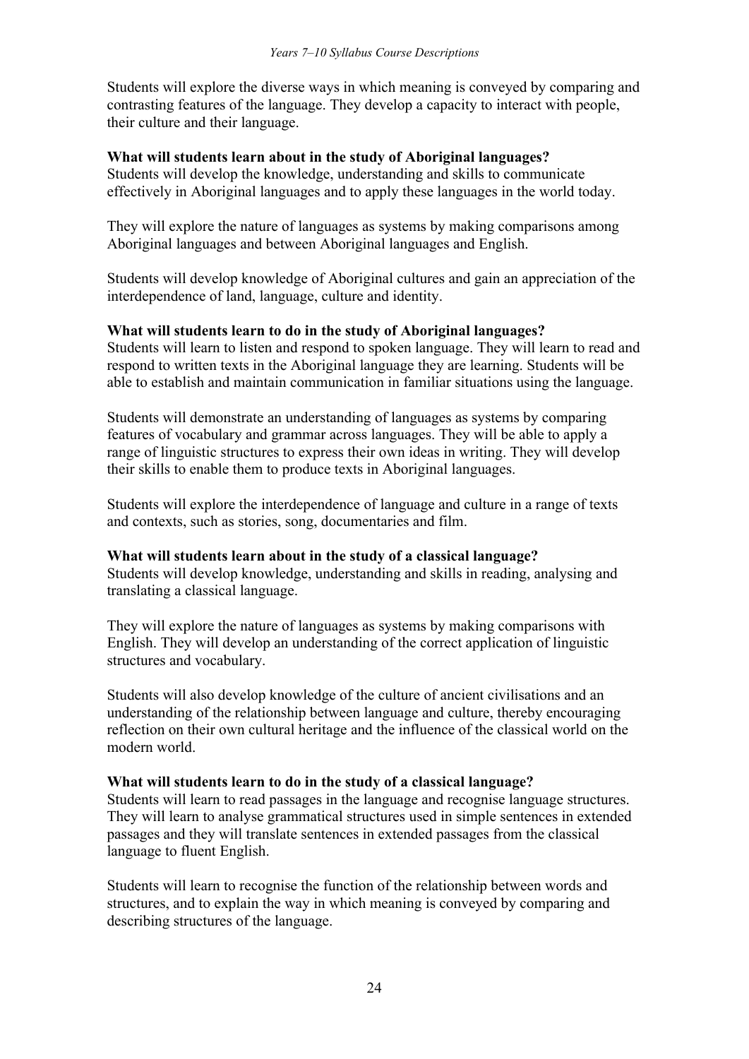Students will explore the diverse ways in which meaning is conveyed by comparing and contrasting features of the language. They develop a capacity to interact with people, their culture and their language.

#### **What will students learn about in the study of Aboriginal languages?**

Students will develop the knowledge, understanding and skills to communicate effectively in Aboriginal languages and to apply these languages in the world today.

They will explore the nature of languages as systems by making comparisons among Aboriginal languages and between Aboriginal languages and English.

Students will develop knowledge of Aboriginal cultures and gain an appreciation of the interdependence of land, language, culture and identity.

#### **What will students learn to do in the study of Aboriginal languages?**

Students will learn to listen and respond to spoken language. They will learn to read and respond to written texts in the Aboriginal language they are learning. Students will be able to establish and maintain communication in familiar situations using the language.

Students will demonstrate an understanding of languages as systems by comparing features of vocabulary and grammar across languages. They will be able to apply a range of linguistic structures to express their own ideas in writing. They will develop their skills to enable them to produce texts in Aboriginal languages.

Students will explore the interdependence of language and culture in a range of texts and contexts, such as stories, song, documentaries and film.

#### **What will students learn about in the study of a classical language?**

Students will develop knowledge, understanding and skills in reading, analysing and translating a classical language.

They will explore the nature of languages as systems by making comparisons with English. They will develop an understanding of the correct application of linguistic structures and vocabulary.

Students will also develop knowledge of the culture of ancient civilisations and an understanding of the relationship between language and culture, thereby encouraging reflection on their own cultural heritage and the influence of the classical world on the modern world.

#### **What will students learn to do in the study of a classical language?**

Students will learn to read passages in the language and recognise language structures. They will learn to analyse grammatical structures used in simple sentences in extended passages and they will translate sentences in extended passages from the classical language to fluent English.

Students will learn to recognise the function of the relationship between words and structures, and to explain the way in which meaning is conveyed by comparing and describing structures of the language.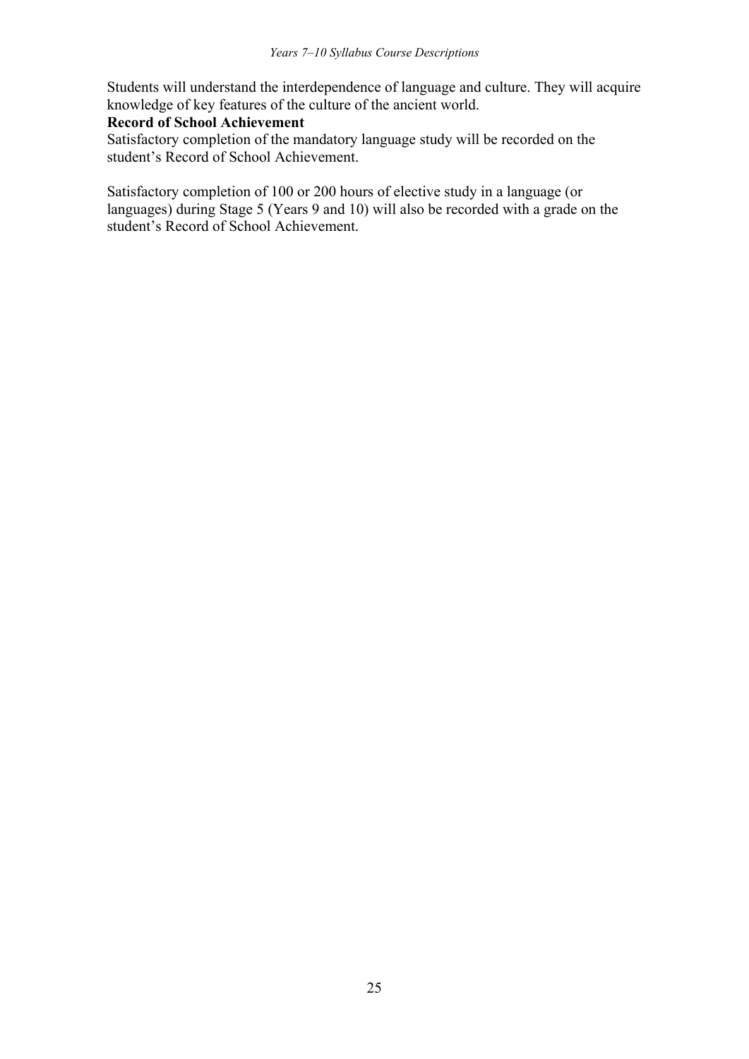Students will understand the interdependence of language and culture. They will acquire knowledge of key features of the culture of the ancient world.

#### **Record of School Achievement**

Satisfactory completion of the mandatory language study will be recorded on the student's Record of School Achievement.

Satisfactory completion of 100 or 200 hours of elective study in a language (or languages) during Stage 5 (Years 9 and 10) will also be recorded with a grade on the student's Record of School Achievement.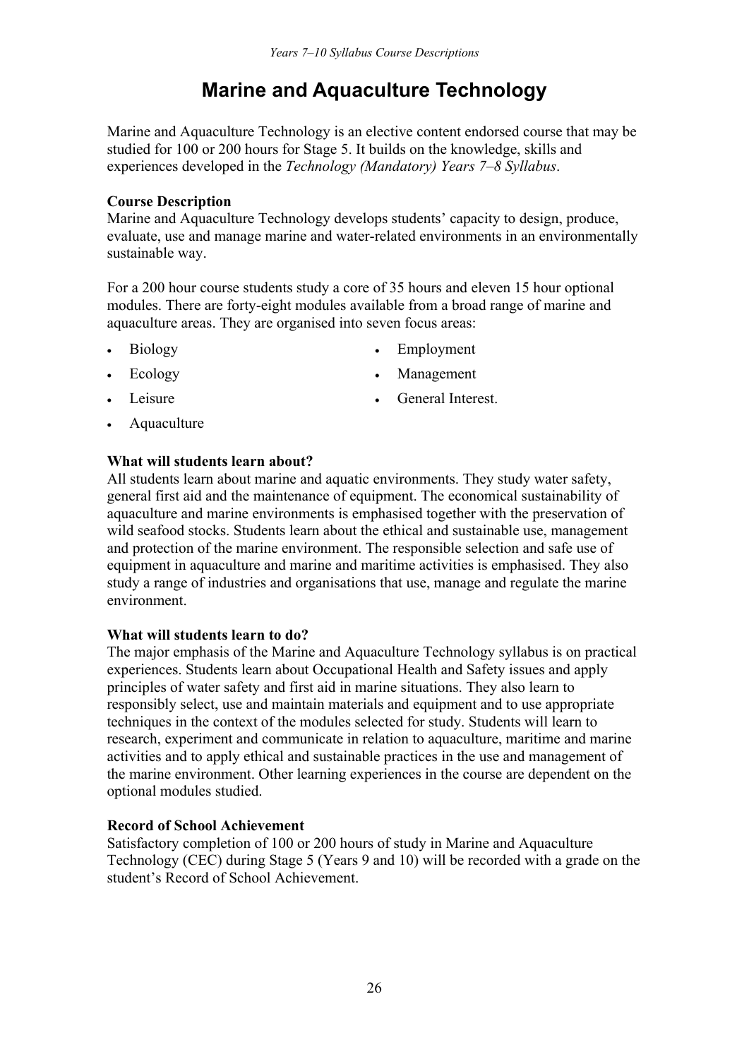## **Marine and Aquaculture Technology**

Marine and Aquaculture Technology is an elective content endorsed course that may be studied for 100 or 200 hours for Stage 5. It builds on the knowledge, skills and experiences developed in the *Technology (Mandatory) Years 7–8 Syllabus*.

### **Course Description**

Marine and Aquaculture Technology develops students' capacity to design, produce, evaluate, use and manage marine and water-related environments in an environmentally sustainable way.

For a 200 hour course students study a core of 35 hours and eleven 15 hour optional modules. There are forty-eight modules available from a broad range of marine and aquaculture areas. They are organised into seven focus areas:

- 
- Biology **Employment**
- Ecology Management
- Leisure **General Interest.**
- Aquaculture
- 

#### **What will students learn about?**

All students learn about marine and aquatic environments. They study water safety, general first aid and the maintenance of equipment. The economical sustainability of aquaculture and marine environments is emphasised together with the preservation of wild seafood stocks. Students learn about the ethical and sustainable use, management and protection of the marine environment. The responsible selection and safe use of equipment in aquaculture and marine and maritime activities is emphasised. They also study a range of industries and organisations that use, manage and regulate the marine environment.

#### **What will students learn to do?**

The major emphasis of the Marine and Aquaculture Technology syllabus is on practical experiences. Students learn about Occupational Health and Safety issues and apply principles of water safety and first aid in marine situations. They also learn to responsibly select, use and maintain materials and equipment and to use appropriate techniques in the context of the modules selected for study. Students will learn to research, experiment and communicate in relation to aquaculture, maritime and marine activities and to apply ethical and sustainable practices in the use and management of the marine environment. Other learning experiences in the course are dependent on the optional modules studied.

## **Record of School Achievement**

Satisfactory completion of 100 or 200 hours of study in Marine and Aquaculture Technology (CEC) during Stage 5 (Years 9 and 10) will be recorded with a grade on the student's Record of School Achievement.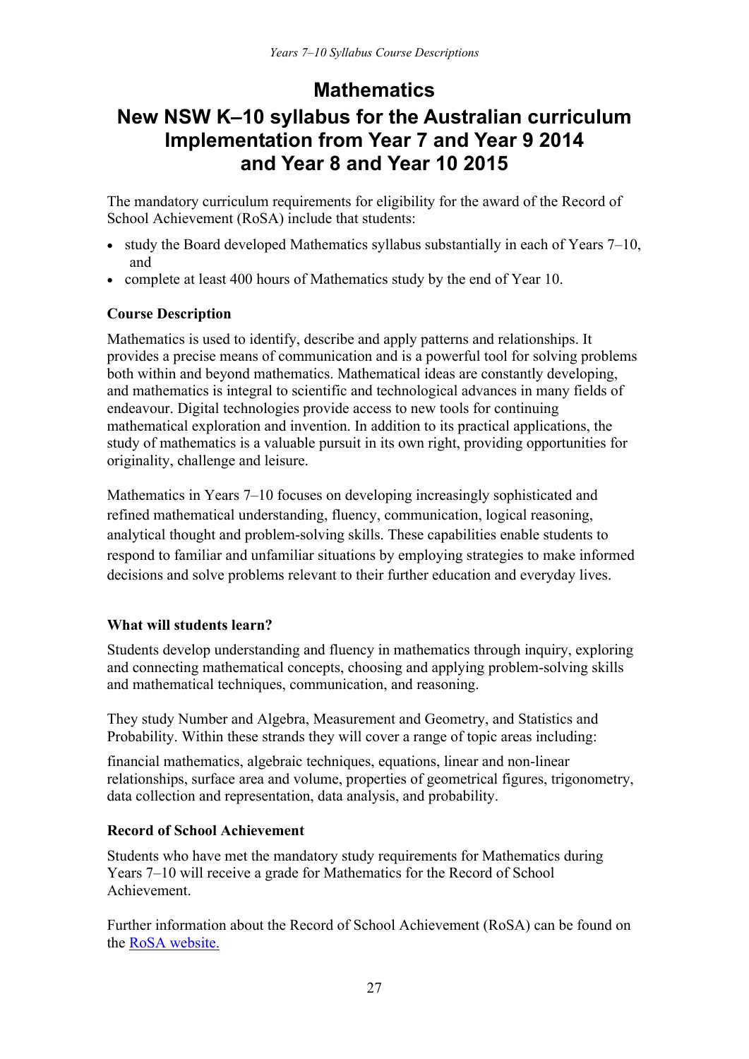## **Mathematics**

## **New NSW K–10 syllabus for the Australian curriculum Implementation from Year 7 and Year 9 2014 and Year 8 and Year 10 2015**

The mandatory curriculum requirements for eligibility for the award of the Record of School Achievement (RoSA) include that students:

- study the Board developed Mathematics syllabus substantially in each of Years  $7-10$ , and
- complete at least 400 hours of Mathematics study by the end of Year 10.

## **Course Description**

Mathematics is used to identify, describe and apply patterns and relationships. It provides a precise means of communication and is a powerful tool for solving problems both within and beyond mathematics. Mathematical ideas are constantly developing, and mathematics is integral to scientific and technological advances in many fields of endeavour. Digital technologies provide access to new tools for continuing mathematical exploration and invention. In addition to its practical applications, the study of mathematics is a valuable pursuit in its own right, providing opportunities for originality, challenge and leisure.

Mathematics in Years 7–10 focuses on developing increasingly sophisticated and refined mathematical understanding, fluency, communication, logical reasoning, analytical thought and problem-solving skills. These capabilities enable students to respond to familiar and unfamiliar situations by employing strategies to make informed decisions and solve problems relevant to their further education and everyday lives.

## **What will students learn?**

Students develop understanding and fluency in mathematics through inquiry, exploring and connecting mathematical concepts, choosing and applying problem-solving skills and mathematical techniques, communication, and reasoning.

They study Number and Algebra, Measurement and Geometry, and Statistics and Probability. Within these strands they will cover a range of topic areas including:

financial mathematics, algebraic techniques, equations, linear and non-linear relationships, surface area and volume, properties of geometrical figures, trigonometry, data collection and representation, data analysis, and probability.

## **Record of School Achievement**

Students who have met the mandatory study requirements for Mathematics during Years 7–10 will receive a grade for Mathematics for the Record of School Achievement.

Further information about the Record of School Achievement (RoSA) can be found on the [RoSA website.](http://www.boardofstudies.nsw.edu.au/rosa/)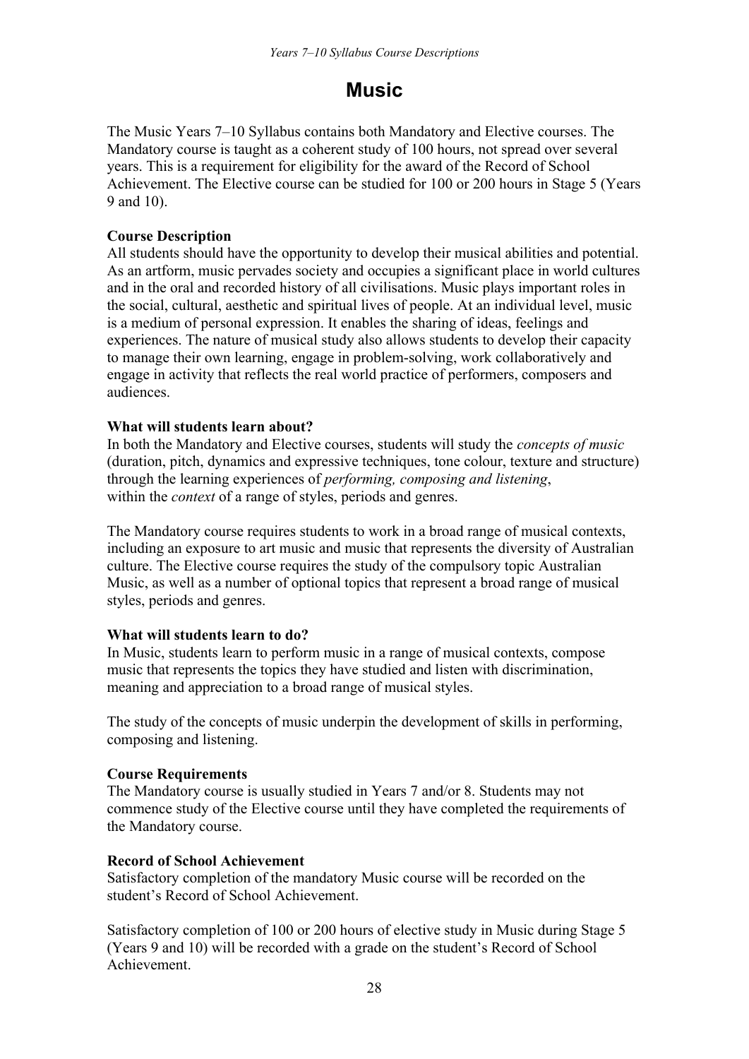## **Music**

The Music Years 7–10 Syllabus contains both Mandatory and Elective courses. The Mandatory course is taught as a coherent study of 100 hours, not spread over several years. This is a requirement for eligibility for the award of the Record of School Achievement. The Elective course can be studied for 100 or 200 hours in Stage 5 (Years 9 and 10).

## **Course Description**

All students should have the opportunity to develop their musical abilities and potential. As an artform, music pervades society and occupies a significant place in world cultures and in the oral and recorded history of all civilisations. Music plays important roles in the social, cultural, aesthetic and spiritual lives of people. At an individual level, music is a medium of personal expression. It enables the sharing of ideas, feelings and experiences. The nature of musical study also allows students to develop their capacity to manage their own learning, engage in problem-solving, work collaboratively and engage in activity that reflects the real world practice of performers, composers and audiences.

## **What will students learn about?**

In both the Mandatory and Elective courses, students will study the *concepts of music* (duration, pitch, dynamics and expressive techniques, tone colour, texture and structure) through the learning experiences of *performing, composing and listening*, within the *context* of a range of styles, periods and genres.

The Mandatory course requires students to work in a broad range of musical contexts, including an exposure to art music and music that represents the diversity of Australian culture. The Elective course requires the study of the compulsory topic Australian Music, as well as a number of optional topics that represent a broad range of musical styles, periods and genres.

## **What will students learn to do?**

In Music, students learn to perform music in a range of musical contexts, compose music that represents the topics they have studied and listen with discrimination, meaning and appreciation to a broad range of musical styles.

The study of the concepts of music underpin the development of skills in performing, composing and listening.

## **Course Requirements**

The Mandatory course is usually studied in Years 7 and/or 8. Students may not commence study of the Elective course until they have completed the requirements of the Mandatory course.

## **Record of School Achievement**

Satisfactory completion of the mandatory Music course will be recorded on the student's Record of School Achievement.

Satisfactory completion of 100 or 200 hours of elective study in Music during Stage 5 (Years 9 and 10) will be recorded with a grade on the student's Record of School Achievement.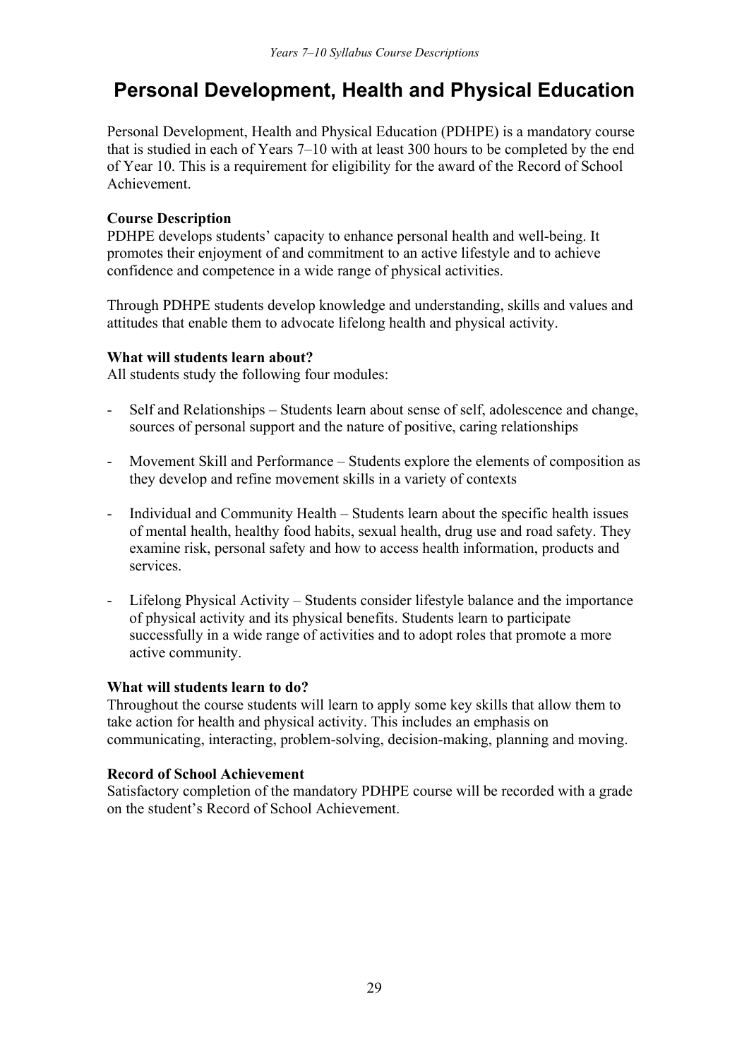## **Personal Development, Health and Physical Education**

Personal Development, Health and Physical Education (PDHPE) is a mandatory course that is studied in each of Years 7–10 with at least 300 hours to be completed by the end of Year 10. This is a requirement for eligibility for the award of the Record of School Achievement.

## **Course Description**

PDHPE develops students' capacity to enhance personal health and well-being. It promotes their enjoyment of and commitment to an active lifestyle and to achieve confidence and competence in a wide range of physical activities.

Through PDHPE students develop knowledge and understanding, skills and values and attitudes that enable them to advocate lifelong health and physical activity.

## **What will students learn about?**

All students study the following four modules:

- Self and Relationships Students learn about sense of self, adolescence and change, sources of personal support and the nature of positive, caring relationships
- Movement Skill and Performance Students explore the elements of composition as they develop and refine movement skills in a variety of contexts
- Individual and Community Health Students learn about the specific health issues of mental health, healthy food habits, sexual health, drug use and road safety. They examine risk, personal safety and how to access health information, products and services.
- Lifelong Physical Activity Students consider lifestyle balance and the importance of physical activity and its physical benefits. Students learn to participate successfully in a wide range of activities and to adopt roles that promote a more active community.

## **What will students learn to do?**

Throughout the course students will learn to apply some key skills that allow them to take action for health and physical activity. This includes an emphasis on communicating, interacting, problem-solving, decision-making, planning and moving.

## **Record of School Achievement**

Satisfactory completion of the mandatory PDHPE course will be recorded with a grade on the student's Record of School Achievement.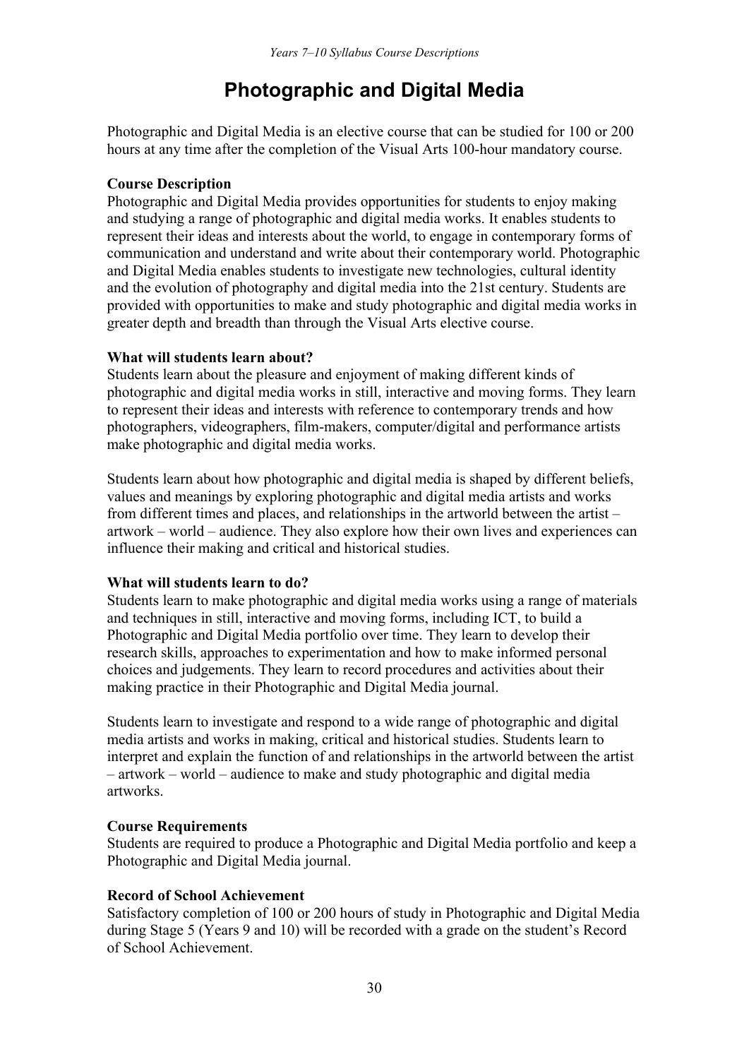## **Photographic and Digital Media**

Photographic and Digital Media is an elective course that can be studied for 100 or 200 hours at any time after the completion of the Visual Arts 100-hour mandatory course.

## **Course Description**

Photographic and Digital Media provides opportunities for students to enjoy making and studying a range of photographic and digital media works. It enables students to represent their ideas and interests about the world, to engage in contemporary forms of communication and understand and write about their contemporary world. Photographic and Digital Media enables students to investigate new technologies, cultural identity and the evolution of photography and digital media into the 21st century. Students are provided with opportunities to make and study photographic and digital media works in greater depth and breadth than through the Visual Arts elective course.

#### **What will students learn about?**

Students learn about the pleasure and enjoyment of making different kinds of photographic and digital media works in still, interactive and moving forms. They learn to represent their ideas and interests with reference to contemporary trends and how photographers, videographers, film-makers, computer/digital and performance artists make photographic and digital media works.

Students learn about how photographic and digital media is shaped by different beliefs, values and meanings by exploring photographic and digital media artists and works from different times and places, and relationships in the artworld between the artist – artwork – world – audience. They also explore how their own lives and experiences can influence their making and critical and historical studies.

## **What will students learn to do?**

Students learn to make photographic and digital media works using a range of materials and techniques in still, interactive and moving forms, including ICT, to build a Photographic and Digital Media portfolio over time. They learn to develop their research skills, approaches to experimentation and how to make informed personal choices and judgements. They learn to record procedures and activities about their making practice in their Photographic and Digital Media journal.

Students learn to investigate and respond to a wide range of photographic and digital media artists and works in making, critical and historical studies. Students learn to interpret and explain the function of and relationships in the artworld between the artist – artwork – world – audience to make and study photographic and digital media artworks.

## **Course Requirements**

Students are required to produce a Photographic and Digital Media portfolio and keep a Photographic and Digital Media journal.

## **Record of School Achievement**

Satisfactory completion of 100 or 200 hours of study in Photographic and Digital Media during Stage 5 (Years 9 and 10) will be recorded with a grade on the student's Record of School Achievement.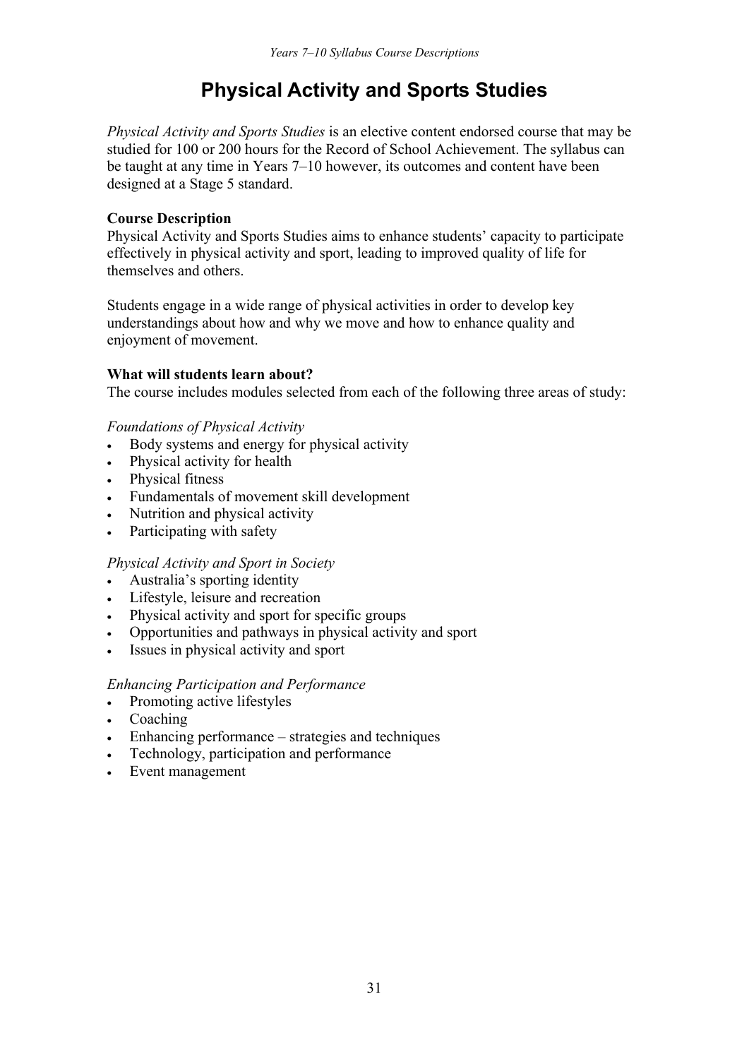## **Physical Activity and Sports Studies**

*Physical Activity and Sports Studies* is an elective content endorsed course that may be studied for 100 or 200 hours for the Record of School Achievement. The syllabus can be taught at any time in Years 7–10 however, its outcomes and content have been designed at a Stage 5 standard.

## **Course Description**

Physical Activity and Sports Studies aims to enhance students' capacity to participate effectively in physical activity and sport, leading to improved quality of life for themselves and others.

Students engage in a wide range of physical activities in order to develop key understandings about how and why we move and how to enhance quality and enjoyment of movement.

#### **What will students learn about?**

The course includes modules selected from each of the following three areas of study:

#### *Foundations of Physical Activity*

- Body systems and energy for physical activity
- Physical activity for health
- Physical fitness
- Fundamentals of movement skill development
- Nutrition and physical activity
- Participating with safety

## *Physical Activity and Sport in Society*

- Australia's sporting identity
- Lifestyle, leisure and recreation
- Physical activity and sport for specific groups
- Opportunities and pathways in physical activity and sport
- Issues in physical activity and sport

#### *Enhancing Participation and Performance*

- Promoting active lifestyles
- Coaching
- Enhancing performance strategies and techniques
- Technology, participation and performance
- Event management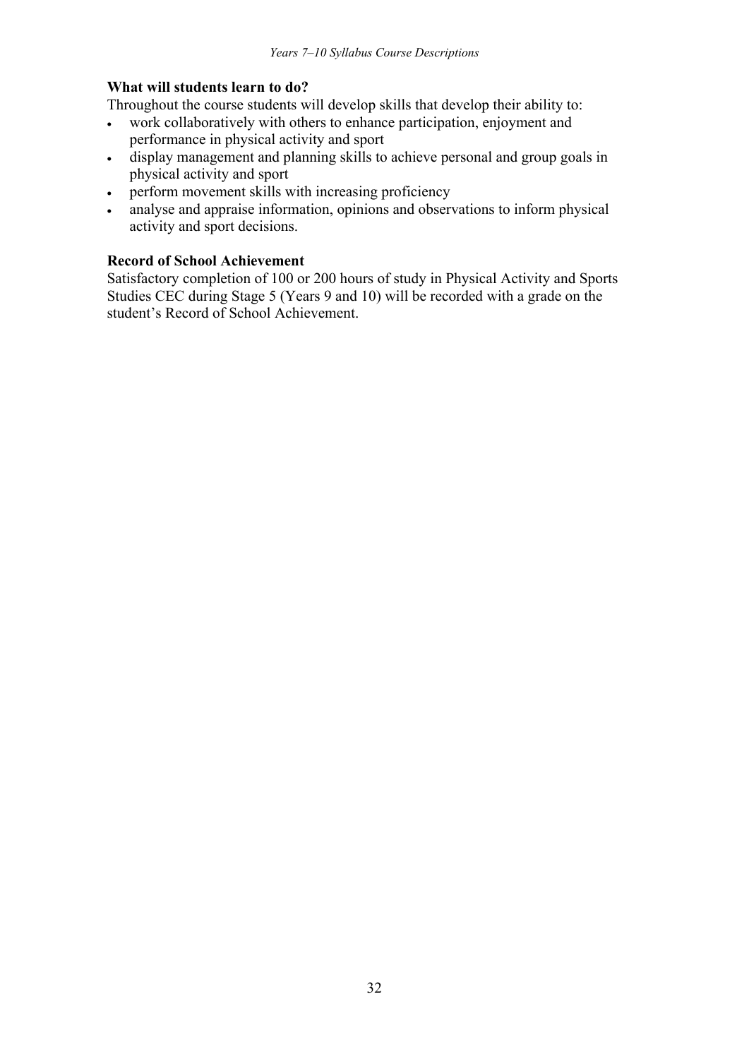## **What will students learn to do?**

Throughout the course students will develop skills that develop their ability to:

- work collaboratively with others to enhance participation, enjoyment and performance in physical activity and sport
- display management and planning skills to achieve personal and group goals in physical activity and sport
- perform movement skills with increasing proficiency
- analyse and appraise information, opinions and observations to inform physical activity and sport decisions.

## **Record of School Achievement**

Satisfactory completion of 100 or 200 hours of study in Physical Activity and Sports Studies CEC during Stage 5 (Years 9 and 10) will be recorded with a grade on the student's Record of School Achievement.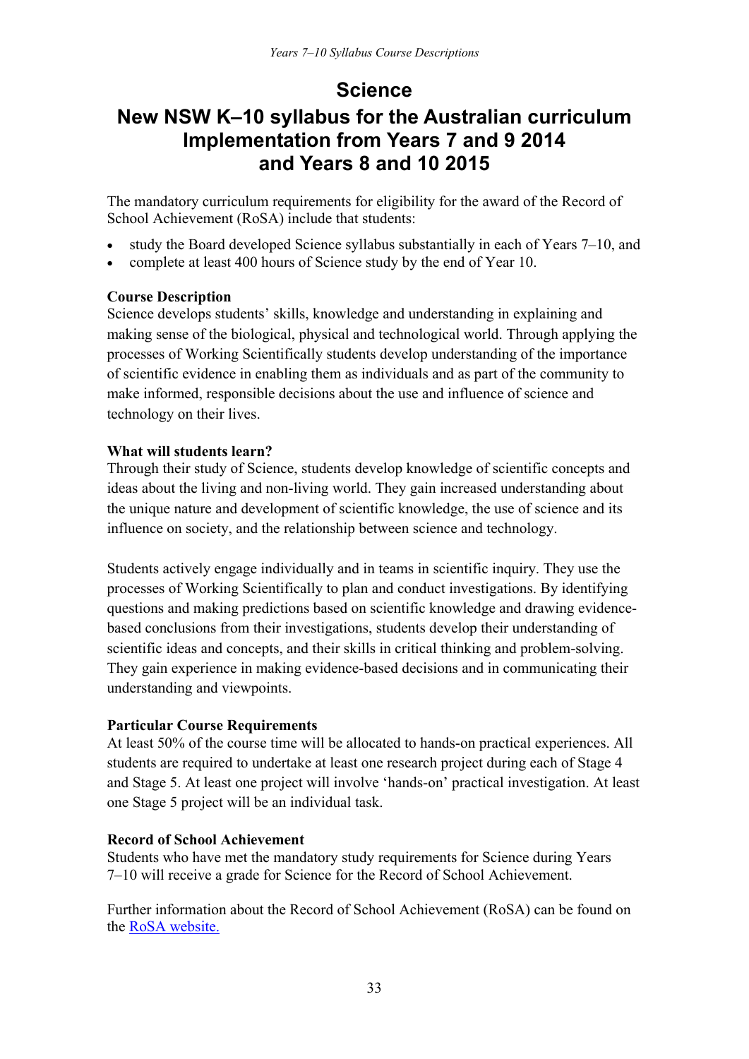## **Science**

## **New NSW K–10 syllabus for the Australian curriculum Implementation from Years 7 and 9 2014 and Years 8 and 10 2015**

The mandatory curriculum requirements for eligibility for the award of the Record of School Achievement (RoSA) include that students:

- study the Board developed Science syllabus substantially in each of Years 7–10, and
- complete at least 400 hours of Science study by the end of Year 10.

## **Course Description**

Science develops students' skills, knowledge and understanding in explaining and making sense of the biological, physical and technological world. Through applying the processes of Working Scientifically students develop understanding of the importance of scientific evidence in enabling them as individuals and as part of the community to make informed, responsible decisions about the use and influence of science and technology on their lives.

## **What will students learn?**

Through their study of Science, students develop knowledge of scientific concepts and ideas about the living and non-living world. They gain increased understanding about the unique nature and development of scientific knowledge, the use of science and its influence on society, and the relationship between science and technology.

Students actively engage individually and in teams in scientific inquiry. They use the processes of Working Scientifically to plan and conduct investigations. By identifying questions and making predictions based on scientific knowledge and drawing evidencebased conclusions from their investigations, students develop their understanding of scientific ideas and concepts, and their skills in critical thinking and problem-solving. They gain experience in making evidence-based decisions and in communicating their understanding and viewpoints.

## **Particular Course Requirements**

At least 50% of the course time will be allocated to hands-on practical experiences. All students are required to undertake at least one research project during each of Stage 4 and Stage 5. At least one project will involve 'hands-on' practical investigation. At least one Stage 5 project will be an individual task.

## **Record of School Achievement**

Students who have met the mandatory study requirements for Science during Years 7–10 will receive a grade for Science for the Record of School Achievement.

Further information about the Record of School Achievement (RoSA) can be found on the [RoSA website.](http://www.boardofstudies.nsw.edu.au/rosa/)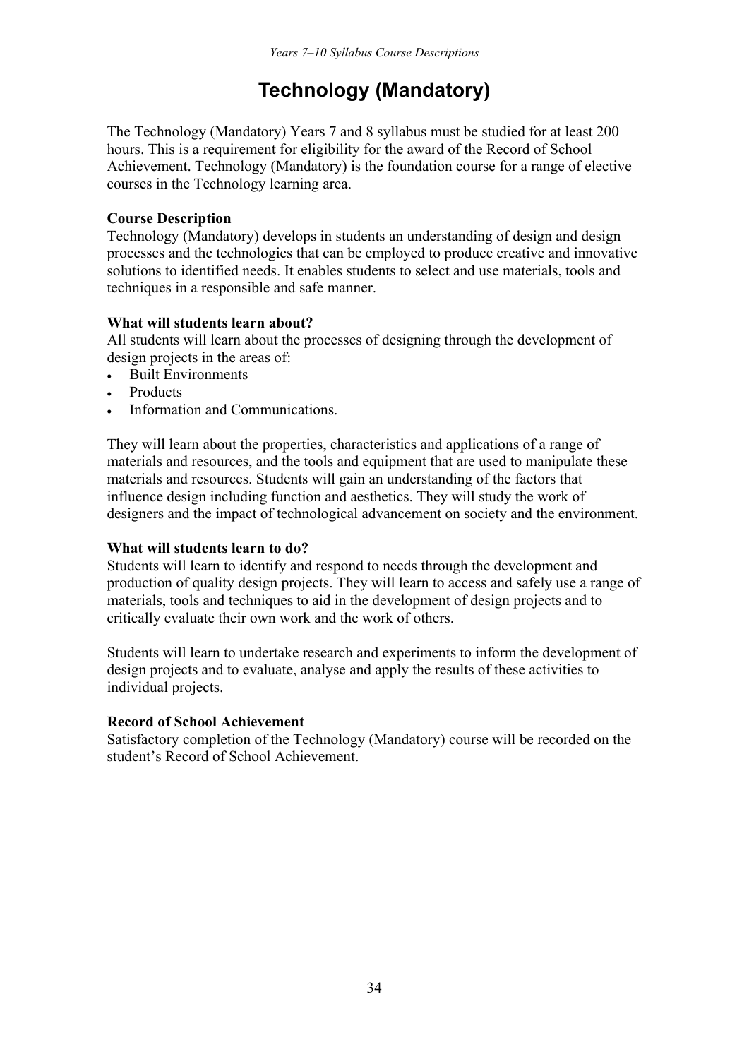## **Technology (Mandatory)**

The Technology (Mandatory) Years 7 and 8 syllabus must be studied for at least 200 hours. This is a requirement for eligibility for the award of the Record of School Achievement. Technology (Mandatory) is the foundation course for a range of elective courses in the Technology learning area.

## **Course Description**

Technology (Mandatory) develops in students an understanding of design and design processes and the technologies that can be employed to produce creative and innovative solutions to identified needs. It enables students to select and use materials, tools and techniques in a responsible and safe manner.

## **What will students learn about?**

All students will learn about the processes of designing through the development of design projects in the areas of:

- Built Environments
- **Products**
- Information and Communications.

They will learn about the properties, characteristics and applications of a range of materials and resources, and the tools and equipment that are used to manipulate these materials and resources. Students will gain an understanding of the factors that influence design including function and aesthetics. They will study the work of designers and the impact of technological advancement on society and the environment.

## **What will students learn to do?**

Students will learn to identify and respond to needs through the development and production of quality design projects. They will learn to access and safely use a range of materials, tools and techniques to aid in the development of design projects and to critically evaluate their own work and the work of others.

Students will learn to undertake research and experiments to inform the development of design projects and to evaluate, analyse and apply the results of these activities to individual projects.

## **Record of School Achievement**

Satisfactory completion of the Technology (Mandatory) course will be recorded on the student's Record of School Achievement.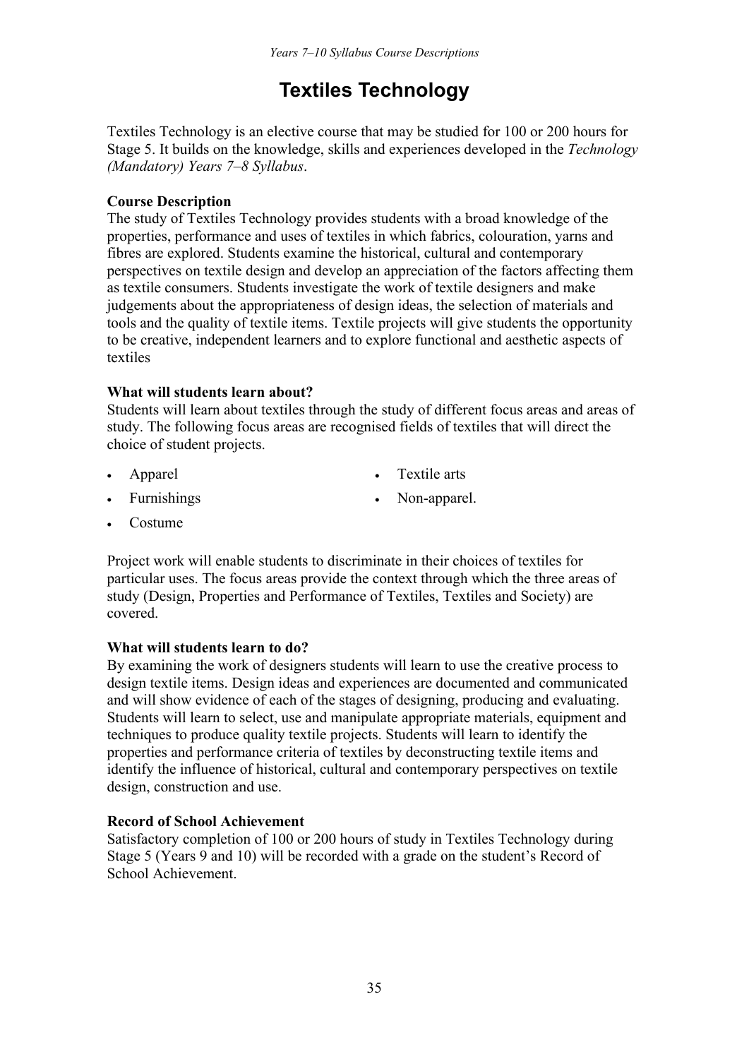## **Textiles Technology**

Textiles Technology is an elective course that may be studied for 100 or 200 hours for Stage 5. It builds on the knowledge, skills and experiences developed in the *Technology (Mandatory) Years 7–8 Syllabus*.

## **Course Description**

The study of Textiles Technology provides students with a broad knowledge of the properties, performance and uses of textiles in which fabrics, colouration, yarns and fibres are explored. Students examine the historical, cultural and contemporary perspectives on textile design and develop an appreciation of the factors affecting them as textile consumers. Students investigate the work of textile designers and make judgements about the appropriateness of design ideas, the selection of materials and tools and the quality of textile items. Textile projects will give students the opportunity to be creative, independent learners and to explore functional and aesthetic aspects of textiles

## **What will students learn about?**

Students will learn about textiles through the study of different focus areas and areas of study. The following focus areas are recognised fields of textiles that will direct the choice of student projects.

- 
- Apparel Textile arts
- 
- Furnishings Non-apparel.
- Costume

Project work will enable students to discriminate in their choices of textiles for particular uses. The focus areas provide the context through which the three areas of study (Design, Properties and Performance of Textiles, Textiles and Society) are covered.

## **What will students learn to do?**

By examining the work of designers students will learn to use the creative process to design textile items. Design ideas and experiences are documented and communicated and will show evidence of each of the stages of designing, producing and evaluating. Students will learn to select, use and manipulate appropriate materials, equipment and techniques to produce quality textile projects. Students will learn to identify the properties and performance criteria of textiles by deconstructing textile items and identify the influence of historical, cultural and contemporary perspectives on textile design, construction and use.

## **Record of School Achievement**

Satisfactory completion of 100 or 200 hours of study in Textiles Technology during Stage 5 (Years 9 and 10) will be recorded with a grade on the student's Record of School Achievement.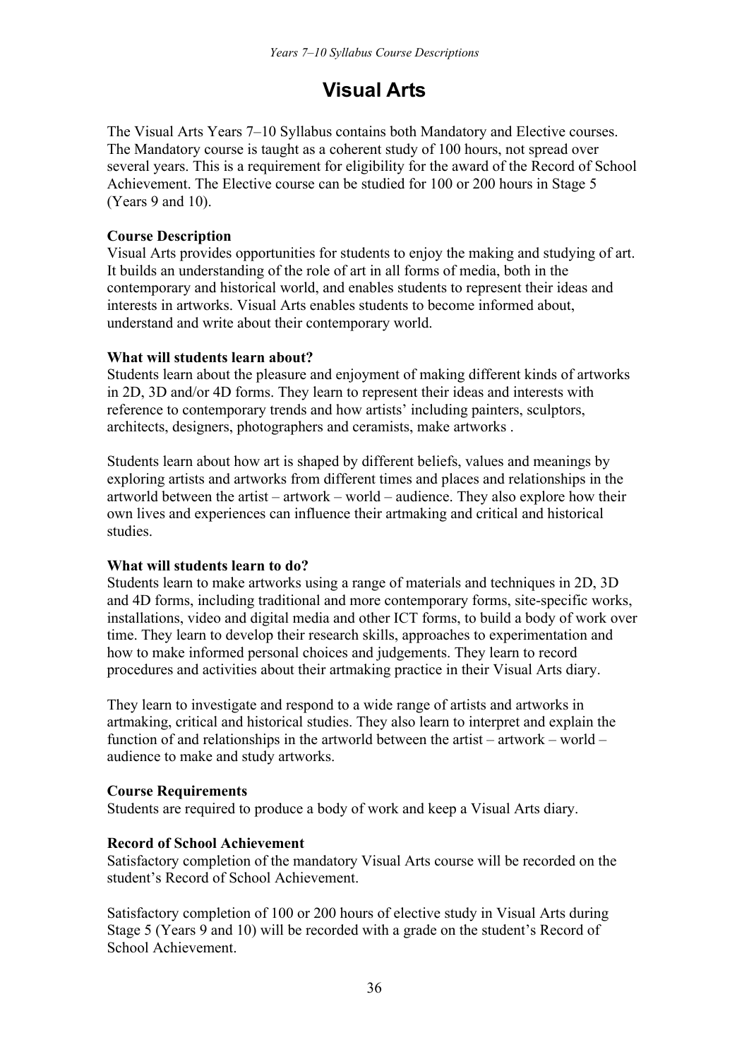## **Visual Arts**

The Visual Arts Years 7–10 Syllabus contains both Mandatory and Elective courses. The Mandatory course is taught as a coherent study of 100 hours, not spread over several years. This is a requirement for eligibility for the award of the Record of School Achievement. The Elective course can be studied for 100 or 200 hours in Stage 5 (Years 9 and 10).

## **Course Description**

Visual Arts provides opportunities for students to enjoy the making and studying of art. It builds an understanding of the role of art in all forms of media, both in the contemporary and historical world, and enables students to represent their ideas and interests in artworks. Visual Arts enables students to become informed about, understand and write about their contemporary world.

#### **What will students learn about?**

Students learn about the pleasure and enjoyment of making different kinds of artworks in 2D, 3D and/or 4D forms. They learn to represent their ideas and interests with reference to contemporary trends and how artists' including painters, sculptors, architects, designers, photographers and ceramists, make artworks .

Students learn about how art is shaped by different beliefs, values and meanings by exploring artists and artworks from different times and places and relationships in the artworld between the artist – artwork – world – audience. They also explore how their own lives and experiences can influence their artmaking and critical and historical studies.

## **What will students learn to do?**

Students learn to make artworks using a range of materials and techniques in 2D, 3D and 4D forms, including traditional and more contemporary forms, site-specific works, installations, video and digital media and other ICT forms, to build a body of work over time. They learn to develop their research skills, approaches to experimentation and how to make informed personal choices and judgements. They learn to record procedures and activities about their artmaking practice in their Visual Arts diary.

They learn to investigate and respond to a wide range of artists and artworks in artmaking, critical and historical studies. They also learn to interpret and explain the function of and relationships in the artworld between the artist – artwork – world – audience to make and study artworks.

#### **Course Requirements**

Students are required to produce a body of work and keep a Visual Arts diary.

#### **Record of School Achievement**

Satisfactory completion of the mandatory Visual Arts course will be recorded on the student's Record of School Achievement.

Satisfactory completion of 100 or 200 hours of elective study in Visual Arts during Stage 5 (Years 9 and 10) will be recorded with a grade on the student's Record of School Achievement.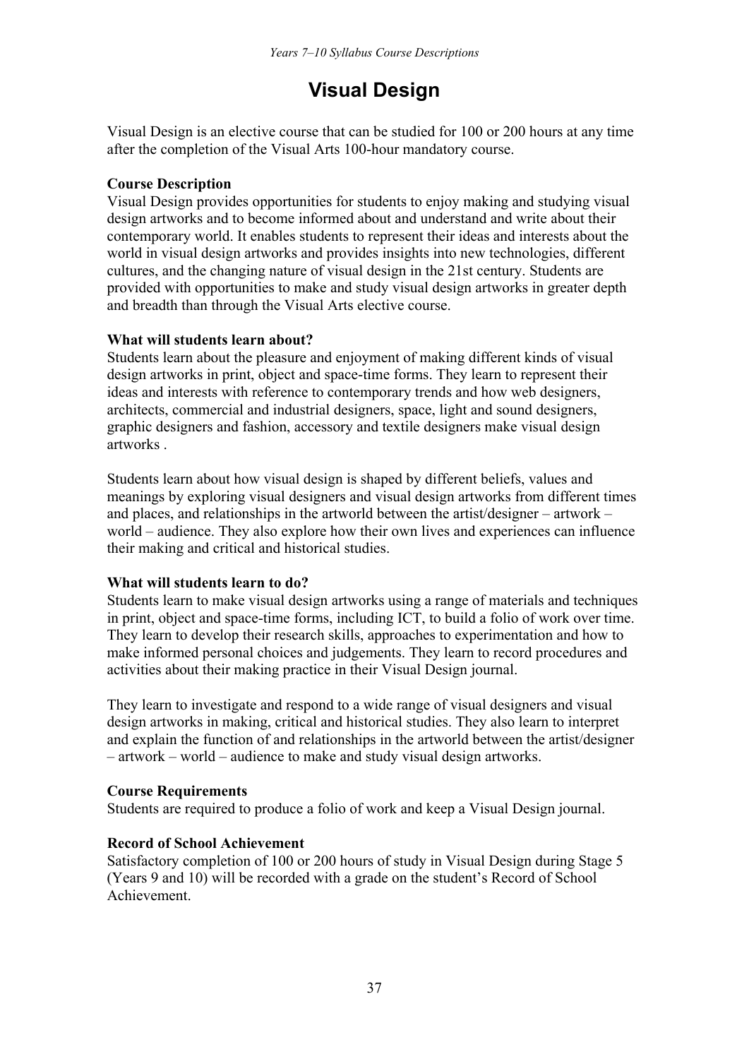## **Visual Design**

Visual Design is an elective course that can be studied for 100 or 200 hours at any time after the completion of the Visual Arts 100-hour mandatory course.

## **Course Description**

Visual Design provides opportunities for students to enjoy making and studying visual design artworks and to become informed about and understand and write about their contemporary world. It enables students to represent their ideas and interests about the world in visual design artworks and provides insights into new technologies, different cultures, and the changing nature of visual design in the 21st century. Students are provided with opportunities to make and study visual design artworks in greater depth and breadth than through the Visual Arts elective course.

#### **What will students learn about?**

Students learn about the pleasure and enjoyment of making different kinds of visual design artworks in print, object and space-time forms. They learn to represent their ideas and interests with reference to contemporary trends and how web designers, architects, commercial and industrial designers, space, light and sound designers, graphic designers and fashion, accessory and textile designers make visual design artworks .

Students learn about how visual design is shaped by different beliefs, values and meanings by exploring visual designers and visual design artworks from different times and places, and relationships in the artworld between the artist/designer – artwork – world – audience. They also explore how their own lives and experiences can influence their making and critical and historical studies.

## **What will students learn to do?**

Students learn to make visual design artworks using a range of materials and techniques in print, object and space-time forms, including ICT, to build a folio of work over time. They learn to develop their research skills, approaches to experimentation and how to make informed personal choices and judgements. They learn to record procedures and activities about their making practice in their Visual Design journal.

They learn to investigate and respond to a wide range of visual designers and visual design artworks in making, critical and historical studies. They also learn to interpret and explain the function of and relationships in the artworld between the artist/designer – artwork – world – audience to make and study visual design artworks.

#### **Course Requirements**

Students are required to produce a folio of work and keep a Visual Design journal.

#### **Record of School Achievement**

Satisfactory completion of 100 or 200 hours of study in Visual Design during Stage 5 (Years 9 and 10) will be recorded with a grade on the student's Record of School Achievement.